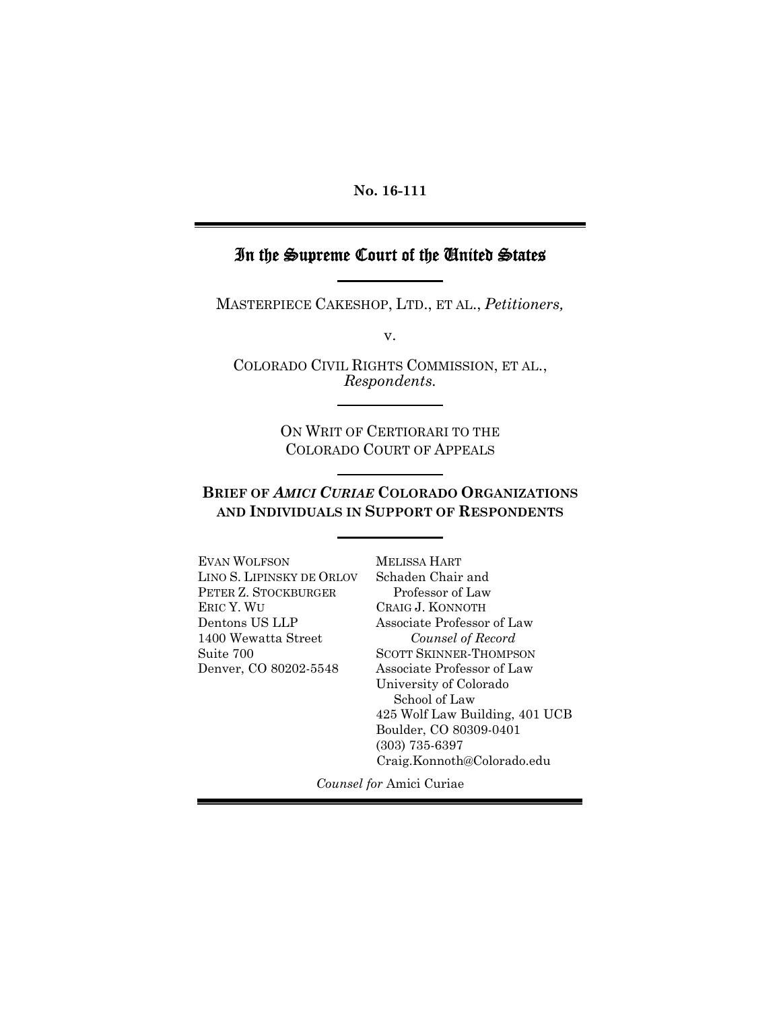#### **No. 16-111**

### In the Supreme Court of the United States

MASTERPIECE CAKESHOP, LTD., ET AL., *Petitioners,*

v.

COLORADO CIVIL RIGHTS COMMISSION, ET AL., *Respondents.*

> ON WRIT OF CERTIORARI TO THE COLORADO COURT OF APPEALS

### **BRIEF OF** *AMICI CURIAE* **COLORADO ORGANIZATIONS AND INDIVIDUALS IN SUPPORT OF RESPONDENTS**

EVAN WOLFSON LINO S. LIPINSKY DE ORLOV PETER Z. STOCKBURGER ERIC Y. WU Dentons US LLP 1400 Wewatta Street Suite 700 Denver, CO 80202-5548

MELISSA HART Schaden Chair and Professor of Law CRAIG J. KONNOTH Associate Professor of Law *Counsel of Record* SCOTT SKINNER-THOMPSON Associate Professor of Law University of Colorado School of Law 425 Wolf Law Building, 401 UCB Boulder, CO 80309-0401 (303) 735-6397 Craig.Konnoth@Colorado.edu

*Counsel for* Amici Curiae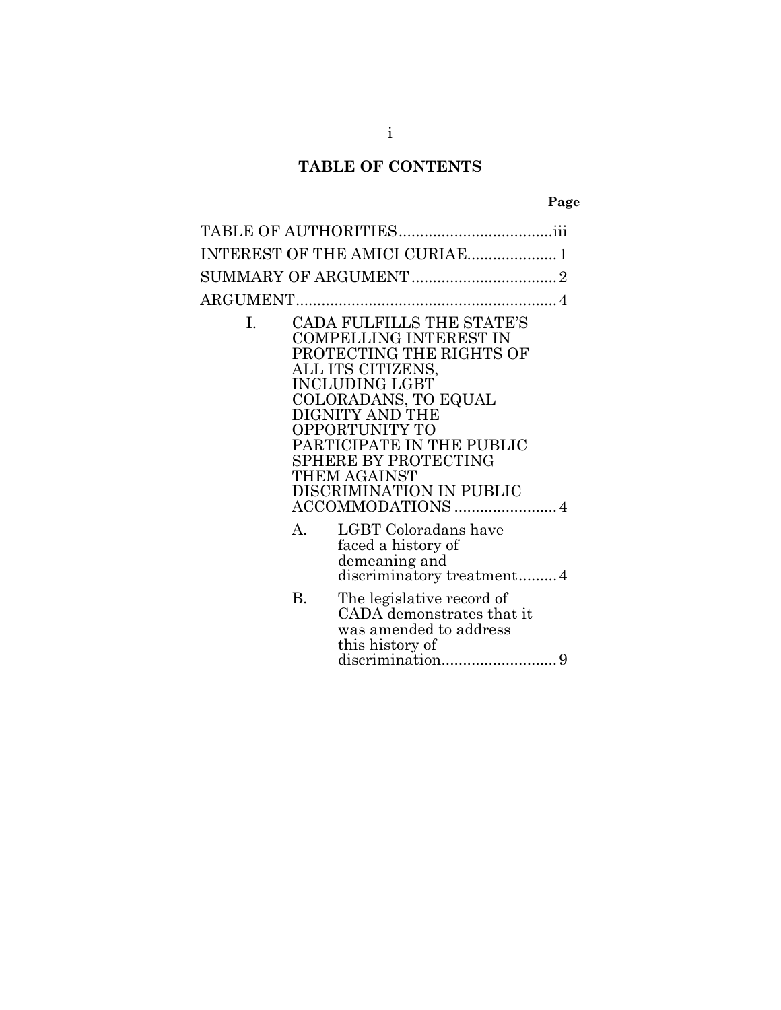## **TABLE OF CONTENTS**

|--|

|    | INTEREST OF THE AMICI CURIAE 1                                                                                                                                                                                                                                                                            |  |
|----|-----------------------------------------------------------------------------------------------------------------------------------------------------------------------------------------------------------------------------------------------------------------------------------------------------------|--|
|    |                                                                                                                                                                                                                                                                                                           |  |
|    |                                                                                                                                                                                                                                                                                                           |  |
| I. | <b>CADA FULFILLS THE STATE'S</b><br><b>COMPELLING INTEREST IN</b><br>PROTECTING THE RIGHTS OF<br>ALL ITS CITIZENS,<br><b>INCLUDING LGBT</b><br>COLORADANS, TO EQUAL<br>DIGNITY AND THE<br>OPPORTUNITY TO<br>PARTICIPATE IN THE PUBLIC<br>SPHERE BY PROTECTING<br>THEM AGAINST<br>DISCRIMINATION IN PUBLIC |  |
|    | LGBT Coloradans have                                                                                                                                                                                                                                                                                      |  |

- faced a history of demeaning and discriminatory treatment.........4
- B. The legislative record of CADA demonstrates that it was amended to address this history of discrimination................................9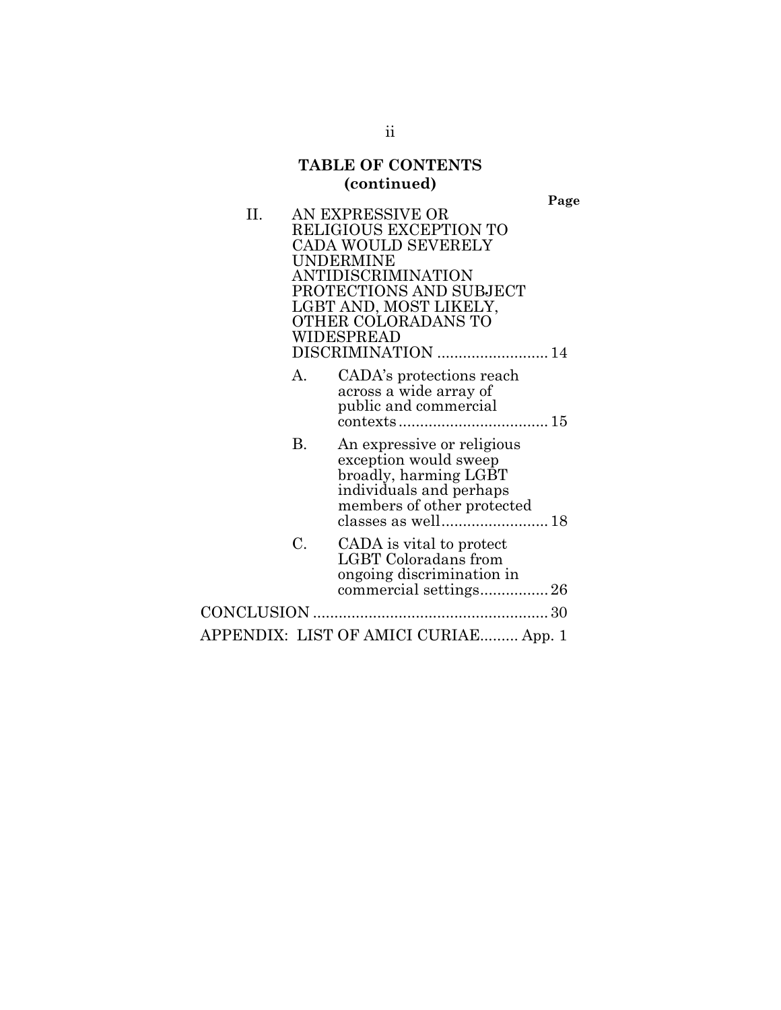## **TABLE OF CONTENTS (continued)**

**Page**

| П. |    | AN EXPRESSIVE OR                                                                                           |
|----|----|------------------------------------------------------------------------------------------------------------|
|    |    | RELIGIOUS EXCEPTION TO<br>CADA WOULD SEVERELY                                                              |
|    |    | UNDERMINE                                                                                                  |
|    |    | ANTIDISCRIMINATION                                                                                         |
|    |    | PROTECTIONS AND SUBJECT                                                                                    |
|    |    | LGBT AND, MOST LIKELY,                                                                                     |
|    |    | OTHER COLORADANS TO                                                                                        |
|    |    | WIDESPREAD                                                                                                 |
|    |    | DISCRIMINATION  14                                                                                         |
|    | А. | CADA's protections reach                                                                                   |
|    |    | across a wide array of<br>public and commercial                                                            |
|    |    | $\text{context} \text{s} \dots \dots \dots \dots \dots \dots \dots \dots \dots \dots \dots \dots \dots 15$ |
|    | В. | An expressive or religious                                                                                 |
|    |    | exception would sweep                                                                                      |
|    |    | broadly, harming LGBT                                                                                      |
|    |    | individuals and perhaps<br>members of other protected                                                      |
|    |    |                                                                                                            |
|    | C. |                                                                                                            |
|    |    | CADA is vital to protect<br>LGBT Coloradans from                                                           |
|    |    | ongoing discrimination in                                                                                  |
|    |    |                                                                                                            |
|    |    |                                                                                                            |
|    |    | APPENDIX: LIST OF AMICI CURIAE App. 1                                                                      |
|    |    |                                                                                                            |

ii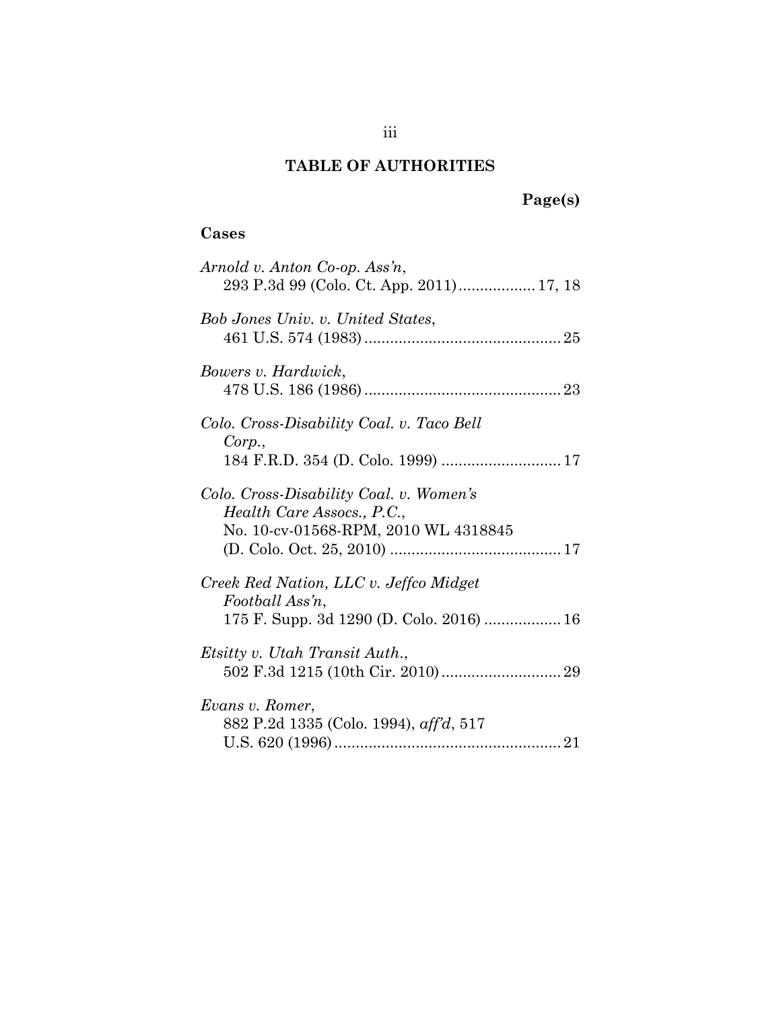## **TABLE OF AUTHORITIES**

# **Page(s)**

### **Cases**

| Arnold v. Anton Co-op. Ass'n,                                                                                 |
|---------------------------------------------------------------------------------------------------------------|
| Bob Jones Univ. v. United States,                                                                             |
| Bowers v. Hardwick,                                                                                           |
| Colo. Cross-Disability Coal. v. Taco Bell<br>Corp.,                                                           |
| Colo. Cross-Disability Coal. v. Women's<br>Health Care Assocs., P.C.,<br>No. 10-cv-01568-RPM, 2010 WL 4318845 |
| Creek Red Nation, LLC v. Jeffco Midget<br>Football Ass'n,<br>175 F. Supp. 3d 1290 (D. Colo. 2016)  16         |
| Etsitty v. Utah Transit Auth.,                                                                                |
| Evans v. Romer,<br>882 P.2d 1335 (Colo. 1994), aff'd, 517                                                     |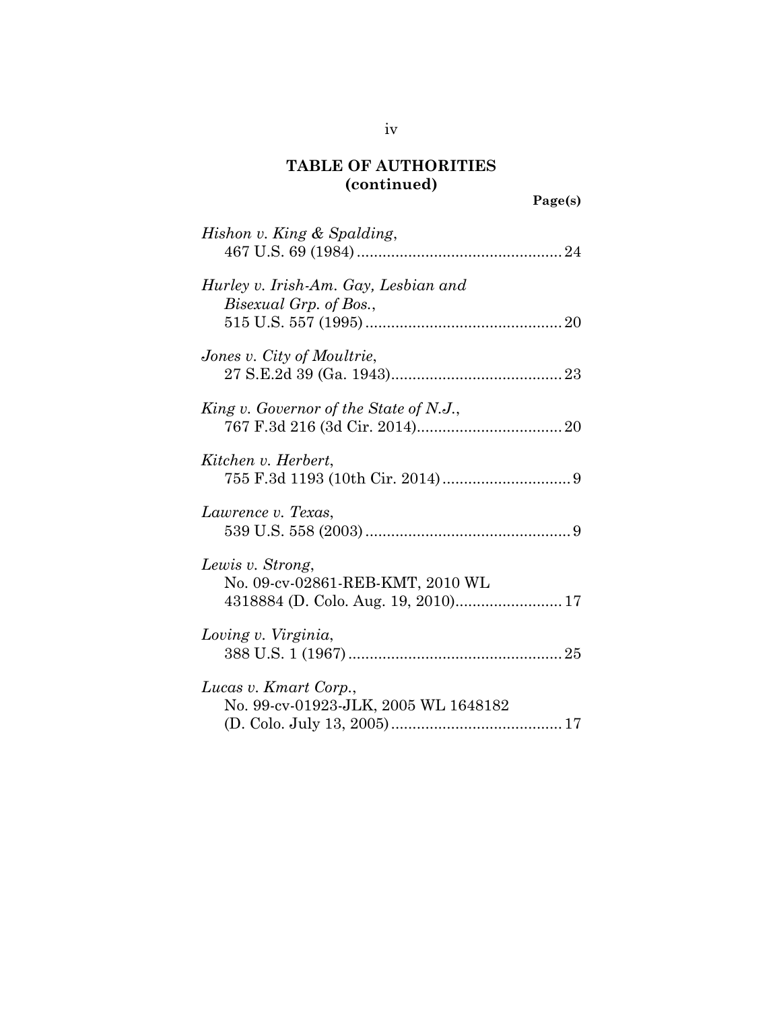| Hishon v. King & Spalding,                                     |  |
|----------------------------------------------------------------|--|
| Hurley v. Irish-Am. Gay, Lesbian and<br>Bisexual Grp. of Bos., |  |
| Jones v. City of Moultrie,                                     |  |
|                                                                |  |
| King v. Governor of the State of N.J.,                         |  |
| Kitchen v. Herbert,                                            |  |
| Lawrence v. Texas,                                             |  |
| Lewis v. Strong,<br>No. 09-cv-02861-REB-KMT, 2010 WL           |  |
| 4318884 (D. Colo. Aug. 19, 2010) 17                            |  |
| Loving v. Virginia,                                            |  |
| Lucas v. Kmart Corp.,                                          |  |
| No. 99-cv-01923-JLK, 2005 WL 1648182                           |  |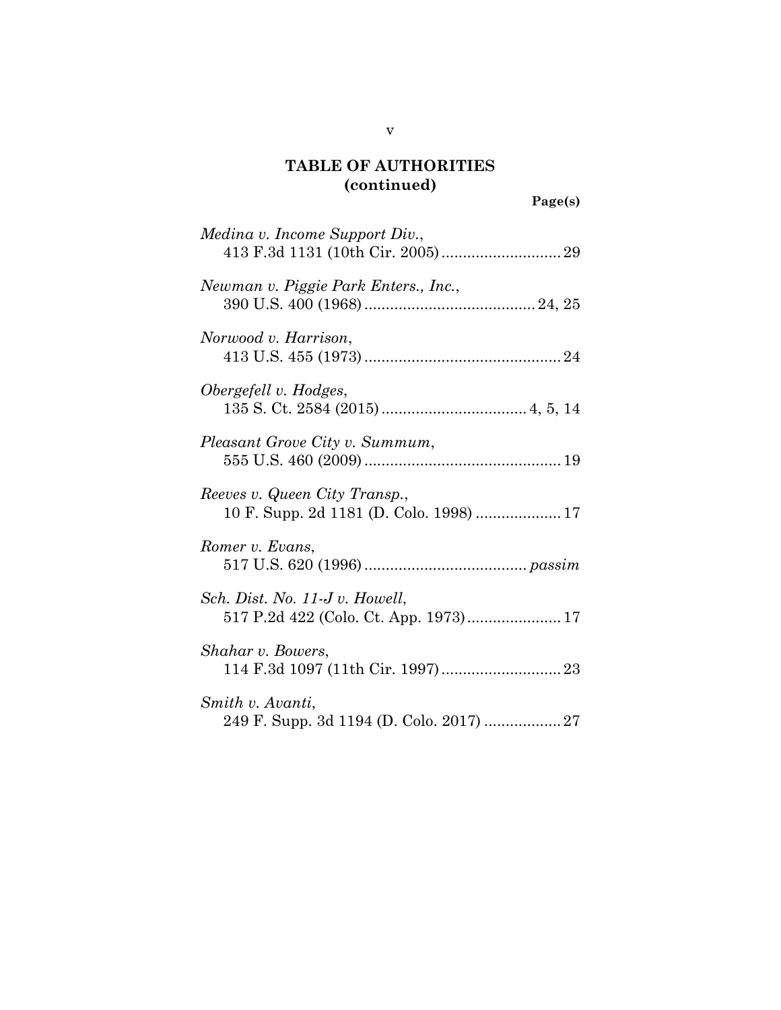**Page(s)**

| Medina v. Income Support Div.,                                           |
|--------------------------------------------------------------------------|
| Newman v. Piggie Park Enters., Inc.,                                     |
| Norwood v. Harrison,                                                     |
| Obergefell v. Hodges,                                                    |
| Pleasant Grove City v. Summum,                                           |
| Reeves v. Queen City Transp.,<br>10 F. Supp. 2d 1181 (D. Colo. 1998)  17 |
| Romer v. Evans,                                                          |
| Sch. Dist. No. 11-J v. Howell,                                           |
| Shahar v. Bowers,                                                        |
| Smith v. Avanti,                                                         |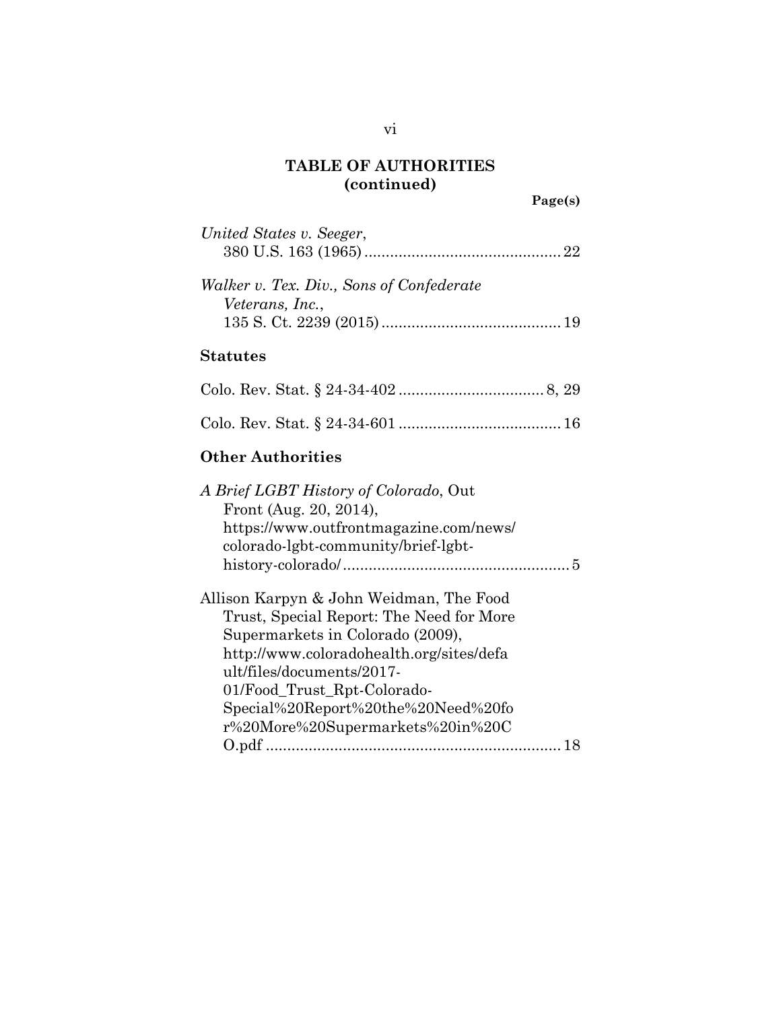**Page(s)**

| United States v. Seeger,                 |  |
|------------------------------------------|--|
|                                          |  |
| Walker v. Tex. Div., Sons of Confederate |  |
| Veterans, Inc.,                          |  |
|                                          |  |
|                                          |  |

### **Statutes**

#### **Other Authorities**

| A Brief LGBT History of Colorado, Out<br>Front (Aug. 20, 2014),<br>https://www.outfrontmagazine.com/news/<br>colorado-lgbt-community/brief-lgbt- |
|--------------------------------------------------------------------------------------------------------------------------------------------------|
| Allison Karpyn & John Weidman, The Food                                                                                                          |
| Trust, Special Report: The Need for More                                                                                                         |
| Supermarkets in Colorado (2009),                                                                                                                 |
| http://www.coloradohealth.org/sites/defa                                                                                                         |
| ult/files/documents/2017-                                                                                                                        |
| 01/Food Trust Rpt-Colorado-                                                                                                                      |
| Special%20Report%20the%20Need%20fo                                                                                                               |
| r%20More%20Supermarkets%20in%20C                                                                                                                 |
|                                                                                                                                                  |
|                                                                                                                                                  |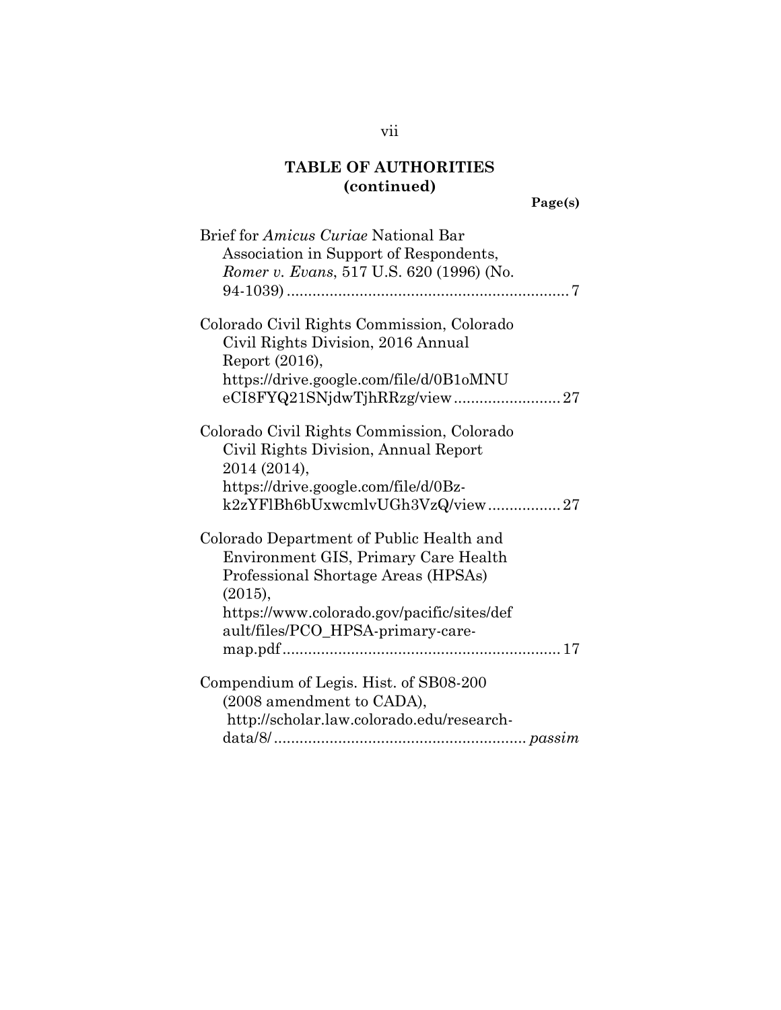| Brief for <i>Amicus Curiae</i> National Bar |
|---------------------------------------------|
| Association in Support of Respondents,      |
| Romer v. Evans, 517 U.S. 620 (1996) (No.    |
|                                             |
|                                             |
| Colorado Civil Rights Commission, Colorado  |
| Civil Rights Division, 2016 Annual          |
| Report (2016),                              |
| https://drive.google.com/file/d/0B1oMNU     |
|                                             |
| Colorado Civil Rights Commission, Colorado  |
| Civil Rights Division, Annual Report        |
| 2014 (2014),                                |
| https://drive.google.com/file/d/0Bz-        |
| k2zYFlBh6bUxwcmlvUGh3VzQ/view27             |
|                                             |
| Colorado Department of Public Health and    |
| Environment GIS, Primary Care Health        |
| Professional Shortage Areas (HPSAs)         |
| (2015),                                     |
| https://www.colorado.gov/pacific/sites/def  |
| ault/files/PCO_HPSA-primary-care-           |
|                                             |
|                                             |
| Compendium of Legis. Hist. of SB08-200      |
| (2008 amendment to CADA),                   |
| http://scholar.law.colorado.edu/research-   |
|                                             |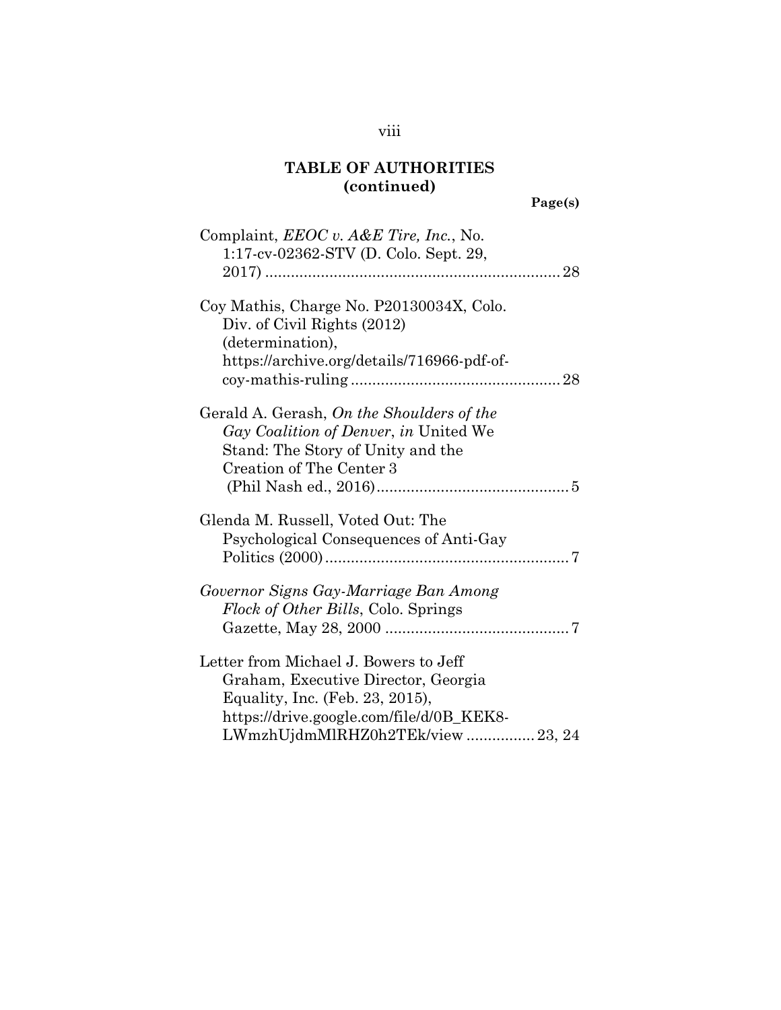**Page(s)**

| Complaint, <i>EEOC v. A&amp;E Tire, Inc.</i> , No.<br>1:17-cv-02362-STV (D. Colo. Sept. 29,                                                                                                     |  |
|-------------------------------------------------------------------------------------------------------------------------------------------------------------------------------------------------|--|
| Coy Mathis, Charge No. P20130034X, Colo.<br>Div. of Civil Rights (2012)<br>(determination),<br>https://archive.org/details/716966-pdf-of-                                                       |  |
| Gerald A. Gerash, On the Shoulders of the<br><i>Gay Coalition of Denver, in United We</i><br>Stand: The Story of Unity and the<br>Creation of The Center 3                                      |  |
| Glenda M. Russell, Voted Out: The<br>Psychological Consequences of Anti-Gay                                                                                                                     |  |
| Governor Signs Gay-Marriage Ban Among<br>Flock of Other Bills, Colo. Springs                                                                                                                    |  |
| Letter from Michael J. Bowers to Jeff<br>Graham, Executive Director, Georgia<br>Equality, Inc. (Feb. 23, 2015),<br>https://drive.google.com/file/d/0B_KEK8-<br>LWmzhUjdmMlRHZ0h2TEk/view 23, 24 |  |

### viii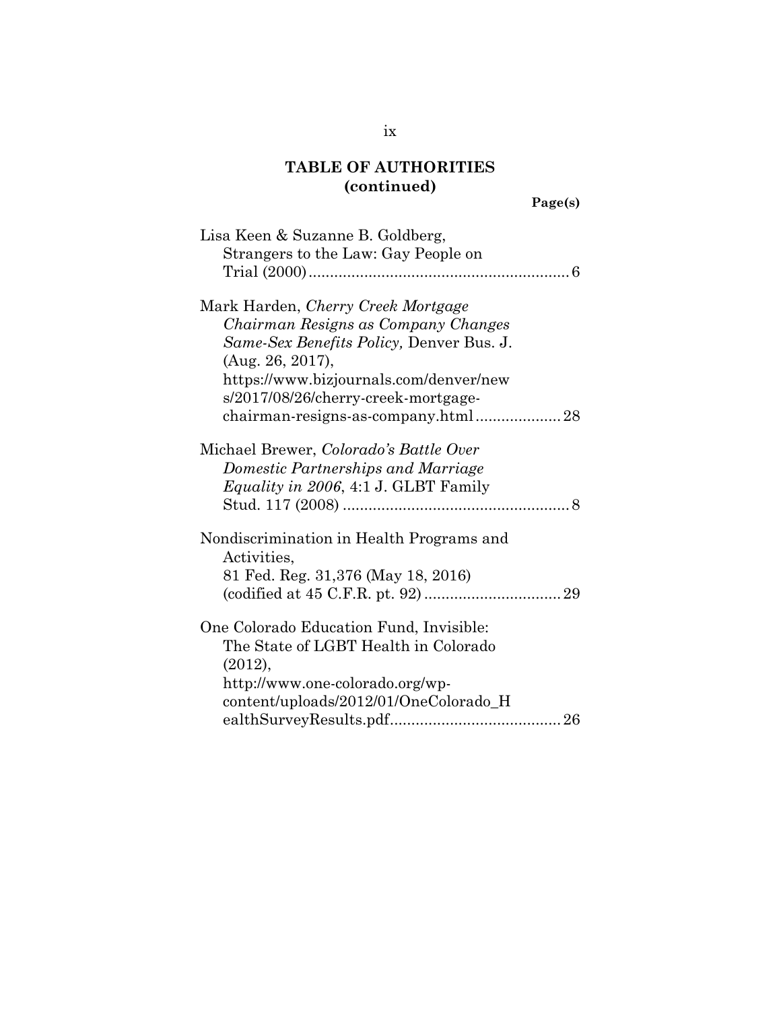**Page(s)**

| Lisa Keen & Suzanne B. Goldberg,            |
|---------------------------------------------|
| Strangers to the Law: Gay People on         |
|                                             |
|                                             |
| Mark Harden, Cherry Creek Mortgage          |
| Chairman Resigns as Company Changes         |
| Same-Sex Benefits Policy, Denver Bus. J.    |
| (Aug. 26, 2017),                            |
| https://www.bizjournals.com/denver/new      |
| s/2017/08/26/cherry-creek-mortgage-         |
| chairman-resigns-as-company.html 28         |
|                                             |
| Michael Brewer, Colorado's Battle Over      |
| Domestic Partnerships and Marriage          |
| <i>Equality in 2006, 4:1 J. GLBT Family</i> |
|                                             |
|                                             |
| Nondiscrimination in Health Programs and    |
| Activities,                                 |
| 81 Fed. Reg. 31,376 (May 18, 2016)          |
|                                             |
|                                             |
| One Colorado Education Fund, Invisible:     |
| The State of LGBT Health in Colorado        |
| (2012),                                     |
| http://www.one-colorado.org/wp-             |
| content/uploads/2012/01/OneColorado_H       |
|                                             |
|                                             |

ix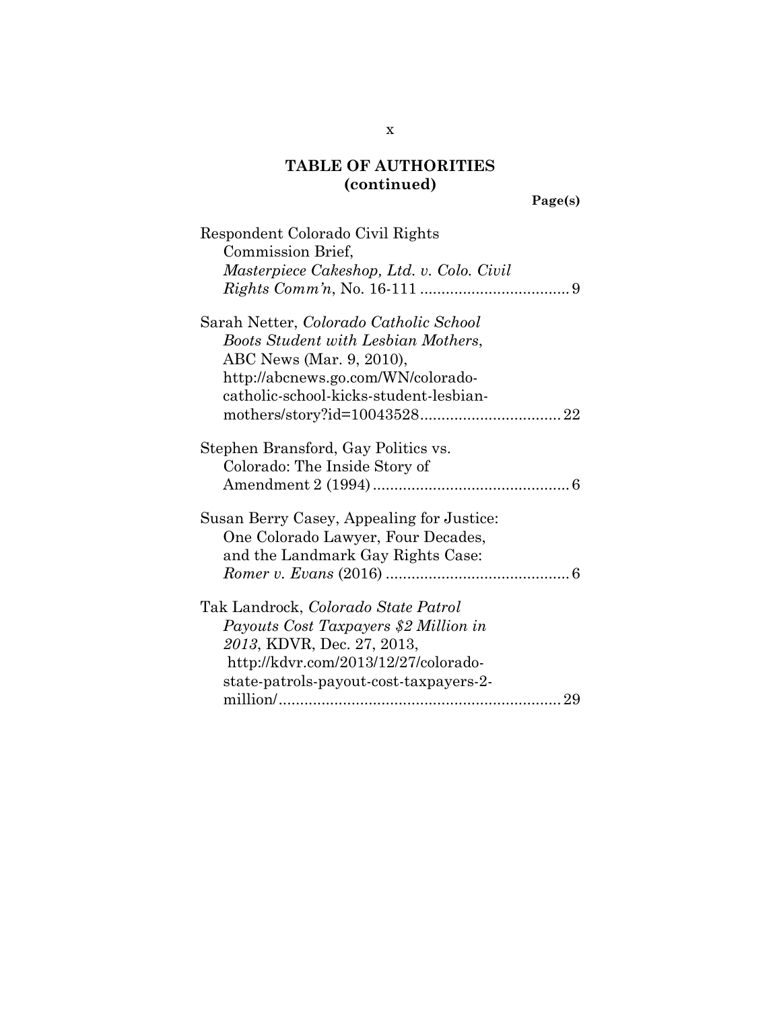**Page(s)**

x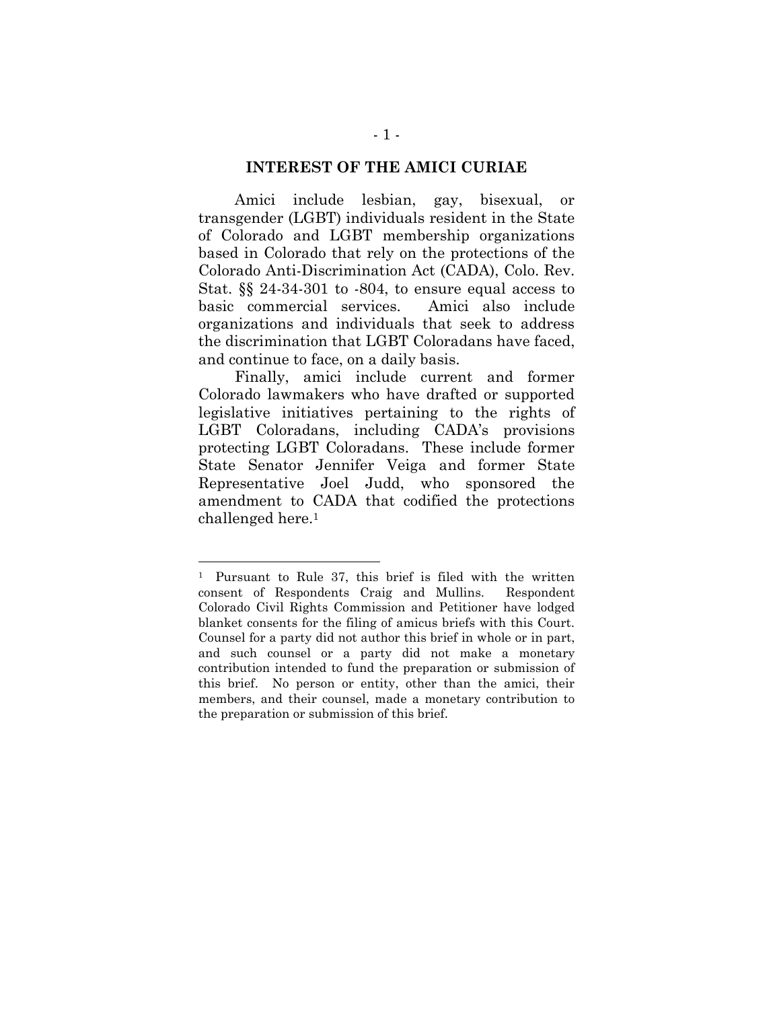#### **INTEREST OF THE AMICI CURIAE**

Amici include lesbian, gay, bisexual, or transgender (LGBT) individuals resident in the State of Colorado and LGBT membership organizations based in Colorado that rely on the protections of the Colorado Anti-Discrimination Act (CADA), Colo. Rev. Stat. §§ 24-34-301 to -804, to ensure equal access to basic commercial services. Amici also include organizations and individuals that seek to address the discrimination that LGBT Coloradans have faced, and continue to face, on a daily basis.

Finally, amici include current and former Colorado lawmakers who have drafted or supported legislative initiatives pertaining to the rights of LGBT Coloradans, including CADA's provisions protecting LGBT Coloradans. These include former State Senator Jennifer Veiga and former State Representative Joel Judd, who sponsored the amendment to CADA that codified the protections challenged here.<sup>1</sup>

<sup>1</sup> Pursuant to Rule 37, this brief is filed with the written consent of Respondents Craig and Mullins. Respondent Colorado Civil Rights Commission and Petitioner have lodged blanket consents for the filing of amicus briefs with this Court. Counsel for a party did not author this brief in whole or in part, and such counsel or a party did not make a monetary contribution intended to fund the preparation or submission of this brief. No person or entity, other than the amici, their members, and their counsel, made a monetary contribution to the preparation or submission of this brief.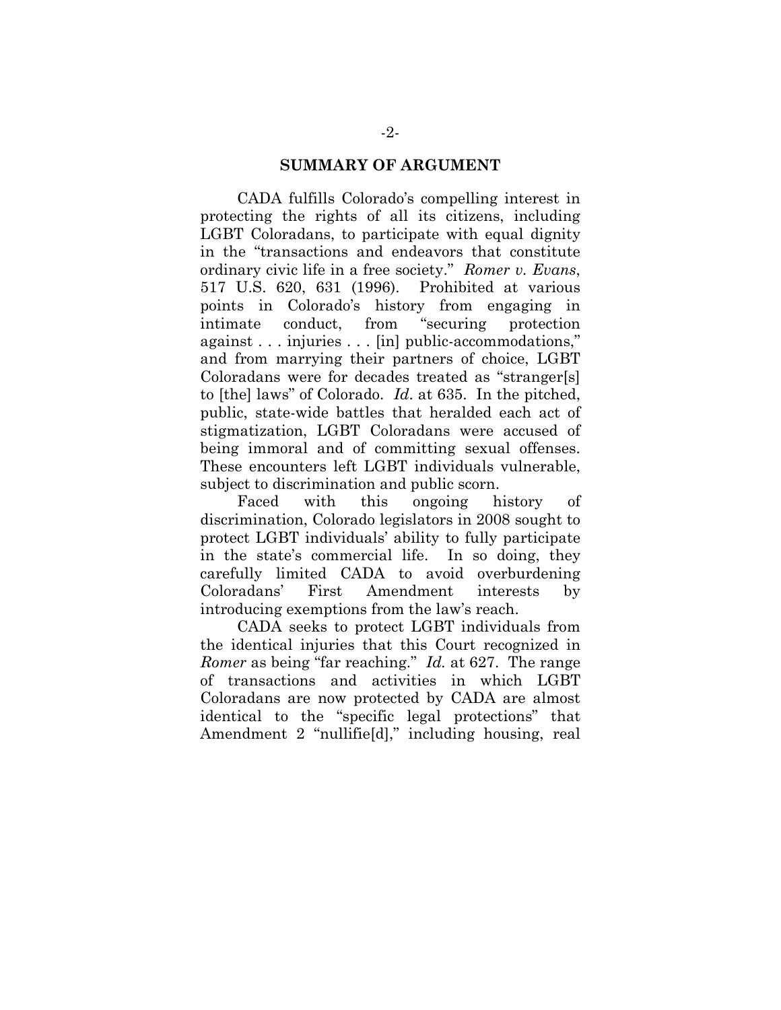#### **SUMMARY OF ARGUMENT**

CADA fulfills Colorado's compelling interest in protecting the rights of all its citizens, including LGBT Coloradans, to participate with equal dignity in the "transactions and endeavors that constitute ordinary civic life in a free society." *Romer v. Evans*, 517 U.S. 620, 631 (1996). Prohibited at various points in Colorado's history from engaging in intimate conduct, from "securing protection against . . . injuries . . . [in] public-accommodations," and from marrying their partners of choice, LGBT Coloradans were for decades treated as "stranger[s] to [the] laws" of Colorado. *Id*. at 635. In the pitched, public, state-wide battles that heralded each act of stigmatization, LGBT Coloradans were accused of being immoral and of committing sexual offenses. These encounters left LGBT individuals vulnerable, subject to discrimination and public scorn.

Faced with this ongoing history of discrimination, Colorado legislators in 2008 sought to protect LGBT individuals' ability to fully participate in the state's commercial life. In so doing, they carefully limited CADA to avoid overburdening Coloradans' First Amendment interests by introducing exemptions from the law's reach.

CADA seeks to protect LGBT individuals from the identical injuries that this Court recognized in *Romer* as being "far reaching." *Id.* at 627. The range of transactions and activities in which LGBT Coloradans are now protected by CADA are almost identical to the "specific legal protections" that Amendment 2 "nullifie[d]," including housing, real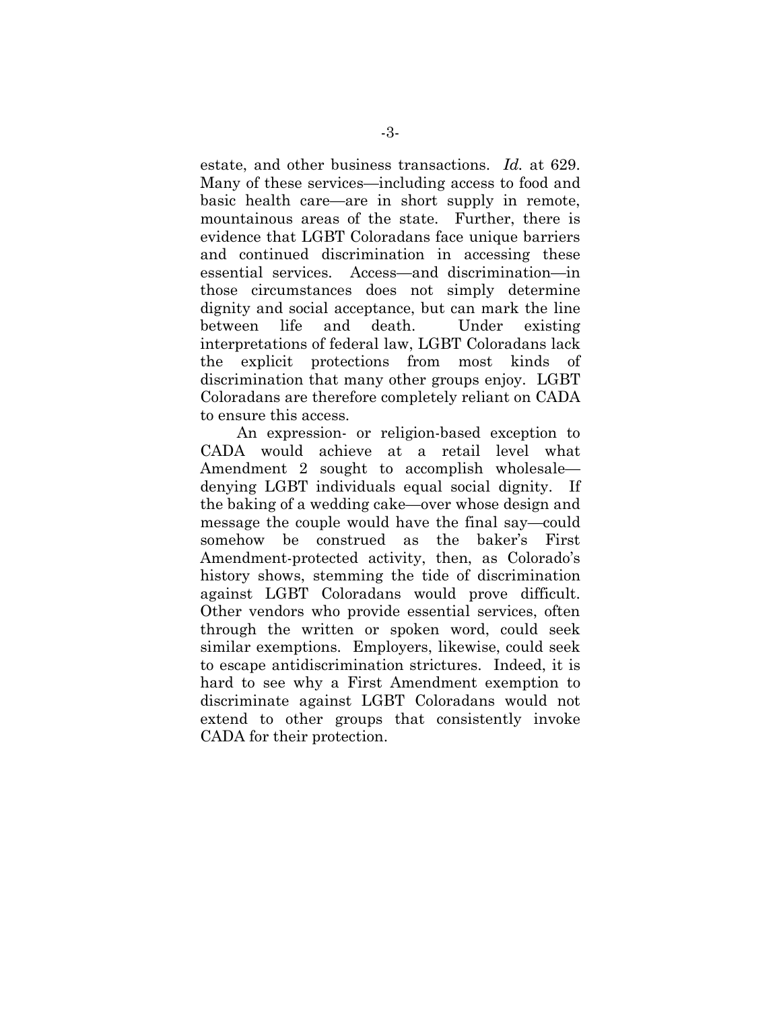estate, and other business transactions. *Id.* at 629. Many of these services—including access to food and basic health care—are in short supply in remote, mountainous areas of the state. Further, there is evidence that LGBT Coloradans face unique barriers and continued discrimination in accessing these essential services. Access—and discrimination—in those circumstances does not simply determine dignity and social acceptance, but can mark the line between life and death. Under existing interpretations of federal law, LGBT Coloradans lack the explicit protections from most kinds of discrimination that many other groups enjoy. LGBT Coloradans are therefore completely reliant on CADA to ensure this access.

An expression- or religion-based exception to CADA would achieve at a retail level what Amendment 2 sought to accomplish wholesale denying LGBT individuals equal social dignity. If the baking of a wedding cake—over whose design and message the couple would have the final say—could somehow be construed as the baker's First Amendment-protected activity, then, as Colorado's history shows, stemming the tide of discrimination against LGBT Coloradans would prove difficult. Other vendors who provide essential services, often through the written or spoken word, could seek similar exemptions. Employers, likewise, could seek to escape antidiscrimination strictures. Indeed, it is hard to see why a First Amendment exemption to discriminate against LGBT Coloradans would not extend to other groups that consistently invoke CADA for their protection.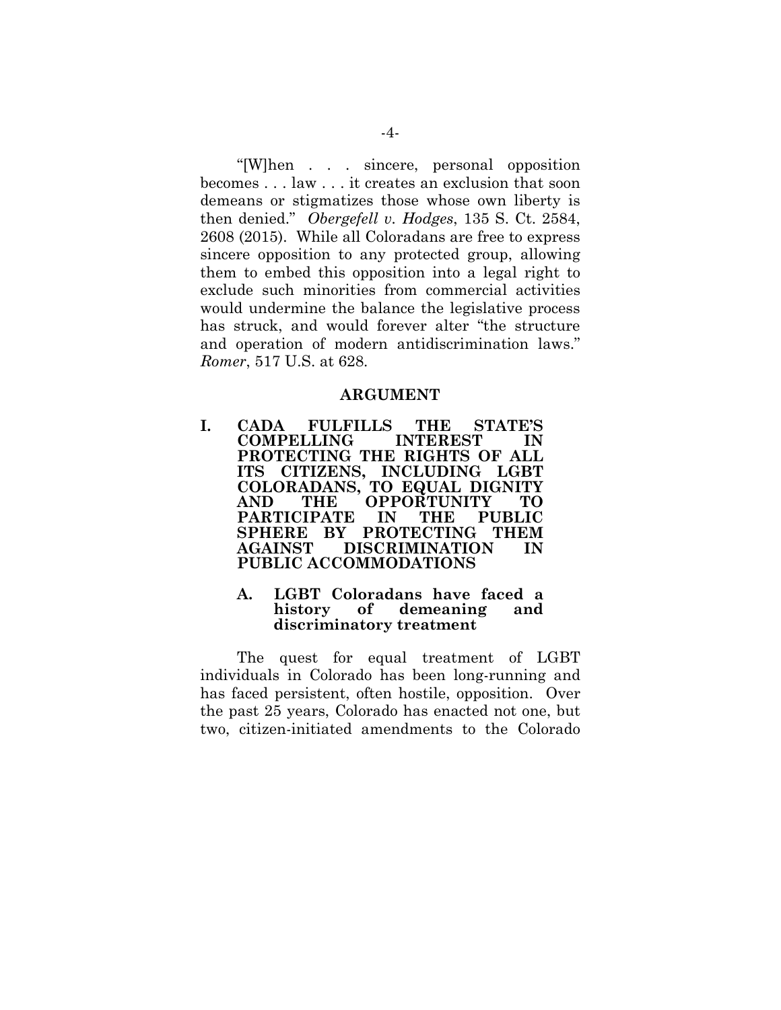"[W]hen . . . sincere, personal opposition becomes . . . law . . . it creates an exclusion that soon demeans or stigmatizes those whose own liberty is then denied." *Obergefell v. Hodges*, 135 S. Ct. 2584, 2608 (2015). While all Coloradans are free to express sincere opposition to any protected group, allowing them to embed this opposition into a legal right to exclude such minorities from commercial activities would undermine the balance the legislative process has struck, and would forever alter "the structure and operation of modern antidiscrimination laws." *Romer*, 517 U.S. at 628.

#### **ARGUMENT**

**I. CADA FULFILLS THE STATE'S COMPELLING INTEREST IN PROTECTING THE RIGHTS OF ALL ITS CITIZENS, INCLUDING LGBT COLORADANS, TO EQUAL DIGNITY AND THE OPPORTUNITY TO PARTICIPATE IN THE PUBLIC SPHERE BY PROTECTING THEM AGAINST DISCRIMINATION IN PUBLIC ACCOMMODATIONS**

#### **A. LGBT Coloradans have faced a history of demeaning and discriminatory treatment**

The quest for equal treatment of LGBT individuals in Colorado has been long-running and has faced persistent, often hostile, opposition. Over the past 25 years, Colorado has enacted not one, but two, citizen-initiated amendments to the Colorado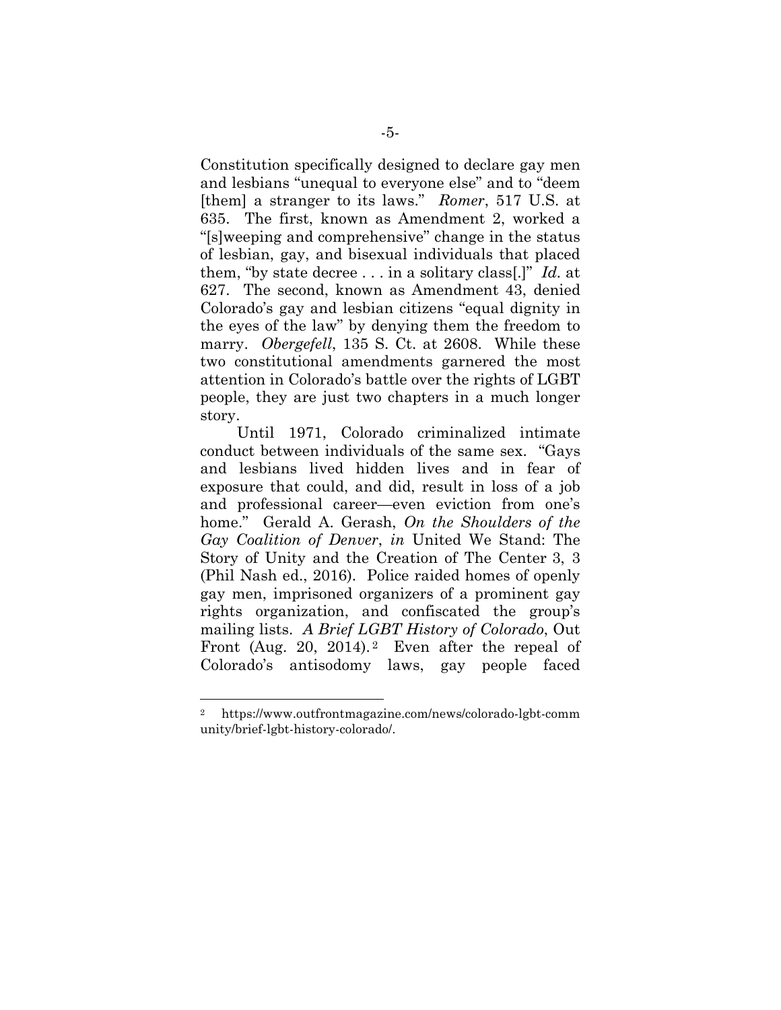Constitution specifically designed to declare gay men and lesbians "unequal to everyone else" and to "deem [them] a stranger to its laws." *Romer*, 517 U.S. at 635. The first, known as Amendment 2, worked a "[s]weeping and comprehensive" change in the status of lesbian, gay, and bisexual individuals that placed them, "by state decree . . . in a solitary class[.]" *Id.* at 627. The second, known as Amendment 43, denied Colorado's gay and lesbian citizens "equal dignity in the eyes of the law" by denying them the freedom to marry. *Obergefell*, 135 S. Ct. at 2608. While these two constitutional amendments garnered the most attention in Colorado's battle over the rights of LGBT people, they are just two chapters in a much longer story.

Until 1971, Colorado criminalized intimate conduct between individuals of the same sex. "Gays and lesbians lived hidden lives and in fear of exposure that could, and did, result in loss of a job and professional career—even eviction from one's home." Gerald A. Gerash, *On the Shoulders of the Gay Coalition of Denver*, *in* United We Stand: The Story of Unity and the Creation of The Center 3, 3 (Phil Nash ed., 2016). Police raided homes of openly gay men, imprisoned organizers of a prominent gay rights organization, and confiscated the group's mailing lists. *A Brief LGBT History of Colorado*, Out Front (Aug. 20, 2014).<sup>2</sup> Even after the repeal of Colorado's antisodomy laws, gay people faced

<sup>2</sup> https://www.outfrontmagazine.com/news/colorado-lgbt-comm unity/brief-lgbt-history-colorado/.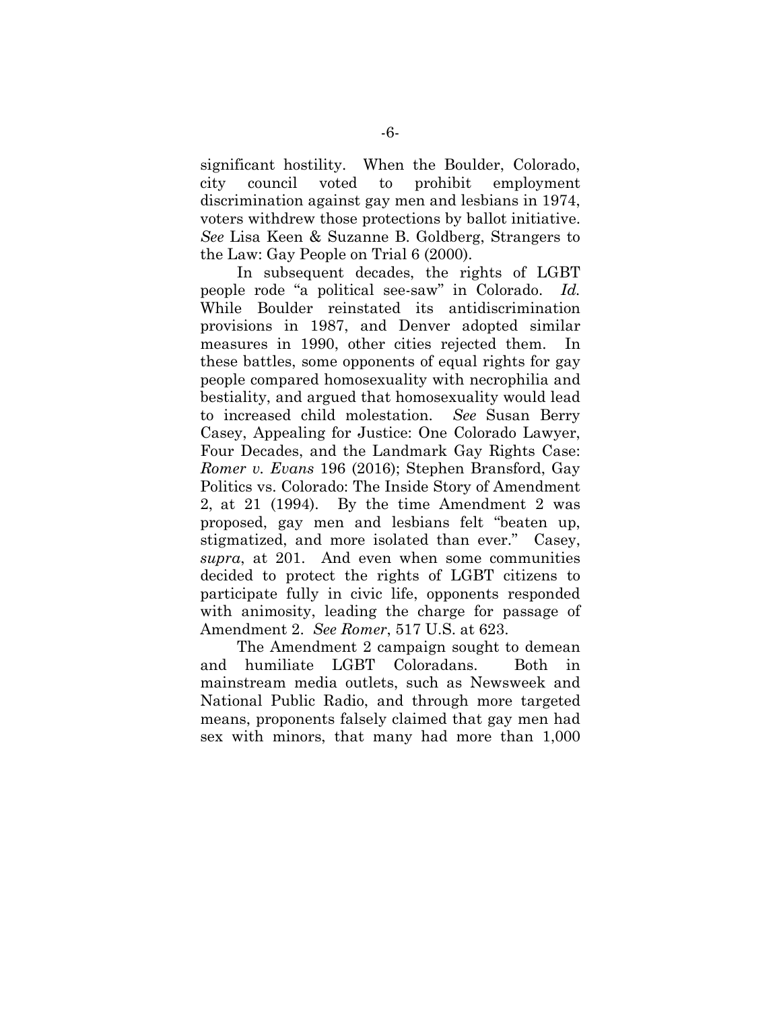significant hostility. When the Boulder, Colorado, city council voted to prohibit employment discrimination against gay men and lesbians in 1974, voters withdrew those protections by ballot initiative. *See* Lisa Keen & Suzanne B. Goldberg, Strangers to the Law: Gay People on Trial 6 (2000).

In subsequent decades, the rights of LGBT people rode "a political see-saw" in Colorado. *Id.* While Boulder reinstated its antidiscrimination provisions in 1987, and Denver adopted similar measures in 1990, other cities rejected them. In these battles, some opponents of equal rights for gay people compared homosexuality with necrophilia and bestiality, and argued that homosexuality would lead to increased child molestation. *See* Susan Berry Casey, Appealing for Justice: One Colorado Lawyer, Four Decades, and the Landmark Gay Rights Case: *Romer v. Evans* 196 (2016); Stephen Bransford, Gay Politics vs. Colorado: The Inside Story of Amendment 2, at 21 (1994). By the time Amendment 2 was proposed, gay men and lesbians felt "beaten up, stigmatized, and more isolated than ever." Casey, *supra*, at 201. And even when some communities decided to protect the rights of LGBT citizens to participate fully in civic life, opponents responded with animosity, leading the charge for passage of Amendment 2. *See Romer*, 517 U.S. at 623.

The Amendment 2 campaign sought to demean and humiliate LGBT Coloradans. Both in mainstream media outlets, such as Newsweek and National Public Radio, and through more targeted means, proponents falsely claimed that gay men had sex with minors, that many had more than 1,000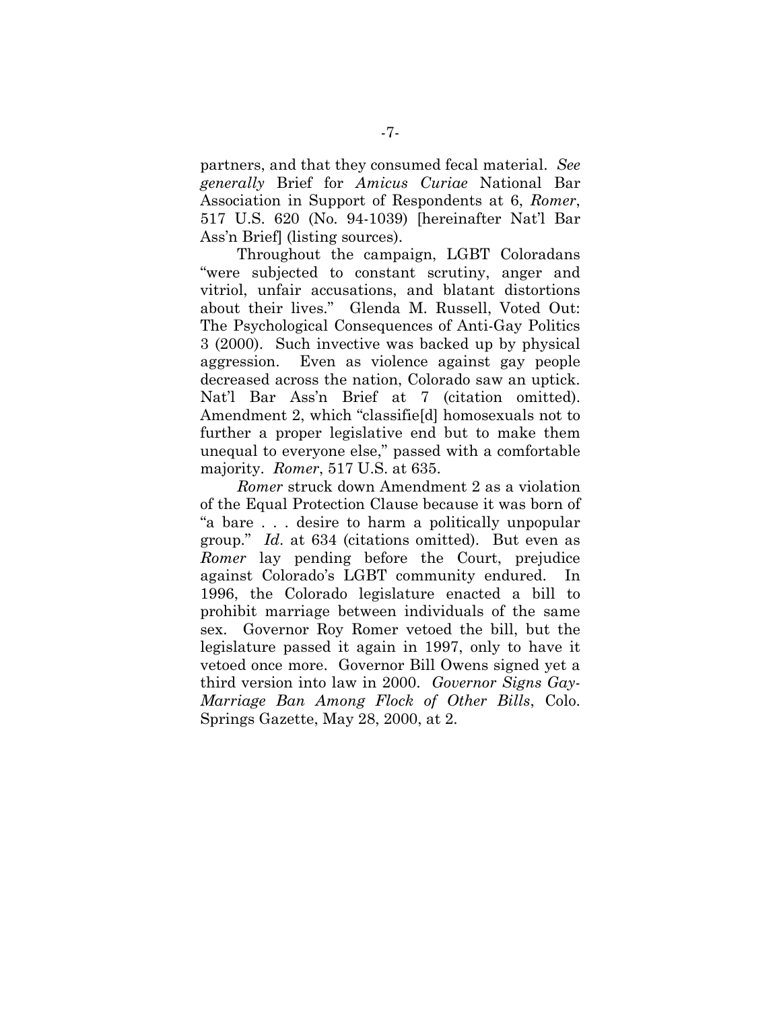partners, and that they consumed fecal material. *See generally* Brief for *Amicus Curiae* National Bar Association in Support of Respondents at 6, *Romer*, 517 U.S. 620 (No. 94-1039) [hereinafter Nat'l Bar Ass'n Brief] (listing sources).

Throughout the campaign, LGBT Coloradans "were subjected to constant scrutiny, anger and vitriol, unfair accusations, and blatant distortions about their lives." Glenda M. Russell, Voted Out: The Psychological Consequences of Anti-Gay Politics 3 (2000). Such invective was backed up by physical aggression. Even as violence against gay people decreased across the nation, Colorado saw an uptick. Nat'l Bar Ass'n Brief at 7 (citation omitted). Amendment 2, which "classifie[d] homosexuals not to further a proper legislative end but to make them unequal to everyone else," passed with a comfortable majority. *Romer*, 517 U.S. at 635.

*Romer* struck down Amendment 2 as a violation of the Equal Protection Clause because it was born of "a bare . . . desire to harm a politically unpopular group." *Id*. at 634 (citations omitted). But even as *Romer* lay pending before the Court, prejudice against Colorado's LGBT community endured. In 1996, the Colorado legislature enacted a bill to prohibit marriage between individuals of the same sex. Governor Roy Romer vetoed the bill, but the legislature passed it again in 1997, only to have it vetoed once more. Governor Bill Owens signed yet a third version into law in 2000. *Governor Signs Gay-Marriage Ban Among Flock of Other Bills*, Colo. Springs Gazette, May 28, 2000, at 2.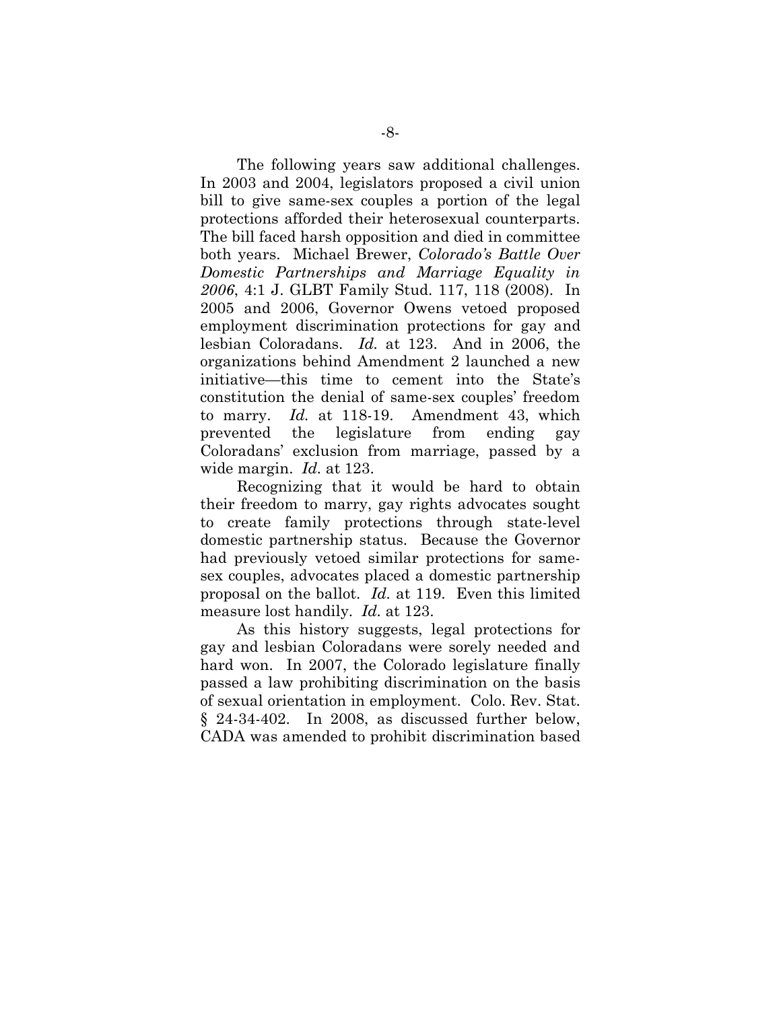The following years saw additional challenges. In 2003 and 2004, legislators proposed a civil union bill to give same-sex couples a portion of the legal protections afforded their heterosexual counterparts. The bill faced harsh opposition and died in committee both years. Michael Brewer, *Colorado's Battle Over Domestic Partnerships and Marriage Equality in 2006*, 4:1 J. GLBT Family Stud. 117, 118 (2008). In 2005 and 2006, Governor Owens vetoed proposed employment discrimination protections for gay and lesbian Coloradans. *Id.* at 123. And in 2006, the organizations behind Amendment 2 launched a new initiative—this time to cement into the State's constitution the denial of same-sex couples' freedom to marry. *Id.* at 118-19. Amendment 43, which prevented the legislature from ending gay Coloradans' exclusion from marriage, passed by a wide margin. *Id.* at 123.

Recognizing that it would be hard to obtain their freedom to marry, gay rights advocates sought to create family protections through state-level domestic partnership status. Because the Governor had previously vetoed similar protections for samesex couples, advocates placed a domestic partnership proposal on the ballot. *Id.* at 119. Even this limited measure lost handily. *Id.* at 123.

As this history suggests, legal protections for gay and lesbian Coloradans were sorely needed and hard won. In 2007, the Colorado legislature finally passed a law prohibiting discrimination on the basis of sexual orientation in employment. Colo. Rev. Stat. § 24-34-402. In 2008, as discussed further below, CADA was amended to prohibit discrimination based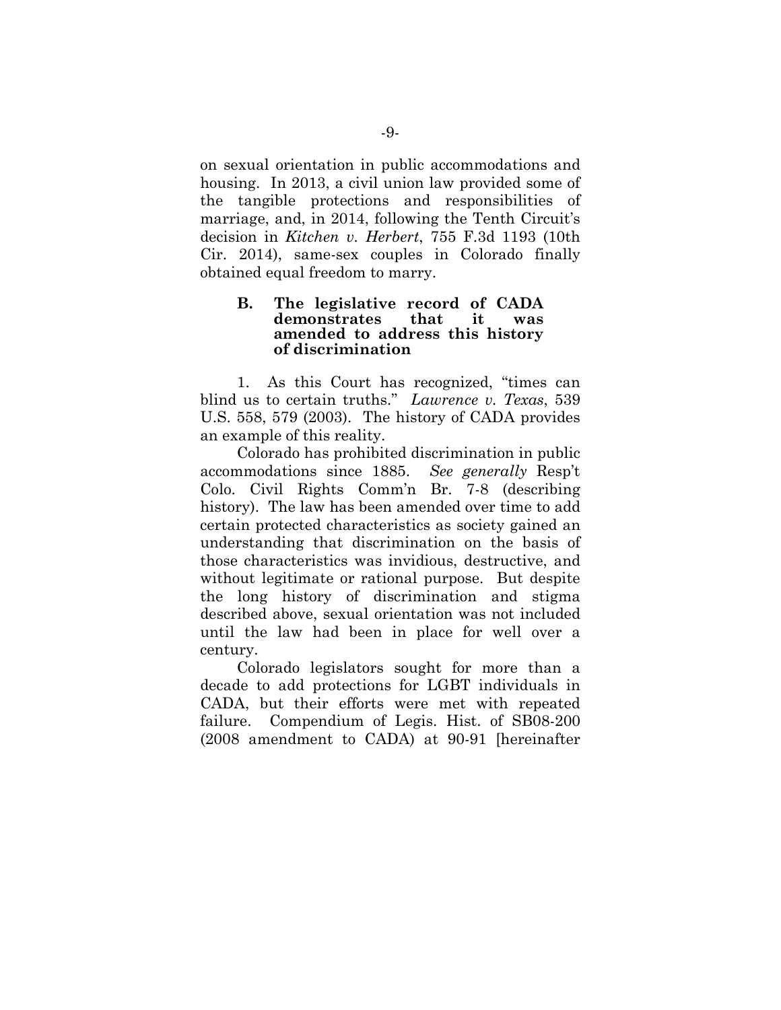on sexual orientation in public accommodations and housing. In 2013, a civil union law provided some of the tangible protections and responsibilities of marriage, and, in 2014, following the Tenth Circuit's decision in *Kitchen v. Herbert*, 755 F.3d 1193 (10th Cir. 2014), same-sex couples in Colorado finally obtained equal freedom to marry.

#### **B. The legislative record of CADA demonstrates that it was amended to address this history of discrimination**

1. As this Court has recognized, "times can blind us to certain truths." *Lawrence v. Texas*, 539 U.S. 558, 579 (2003). The history of CADA provides an example of this reality.

Colorado has prohibited discrimination in public accommodations since 1885. *See generally* Resp't Colo. Civil Rights Comm'n Br. 7-8 (describing history). The law has been amended over time to add certain protected characteristics as society gained an understanding that discrimination on the basis of those characteristics was invidious, destructive, and without legitimate or rational purpose. But despite the long history of discrimination and stigma described above, sexual orientation was not included until the law had been in place for well over a century.

Colorado legislators sought for more than a decade to add protections for LGBT individuals in CADA, but their efforts were met with repeated failure. Compendium of Legis. Hist. of SB08-200 (2008 amendment to CADA) at 90-91 [hereinafter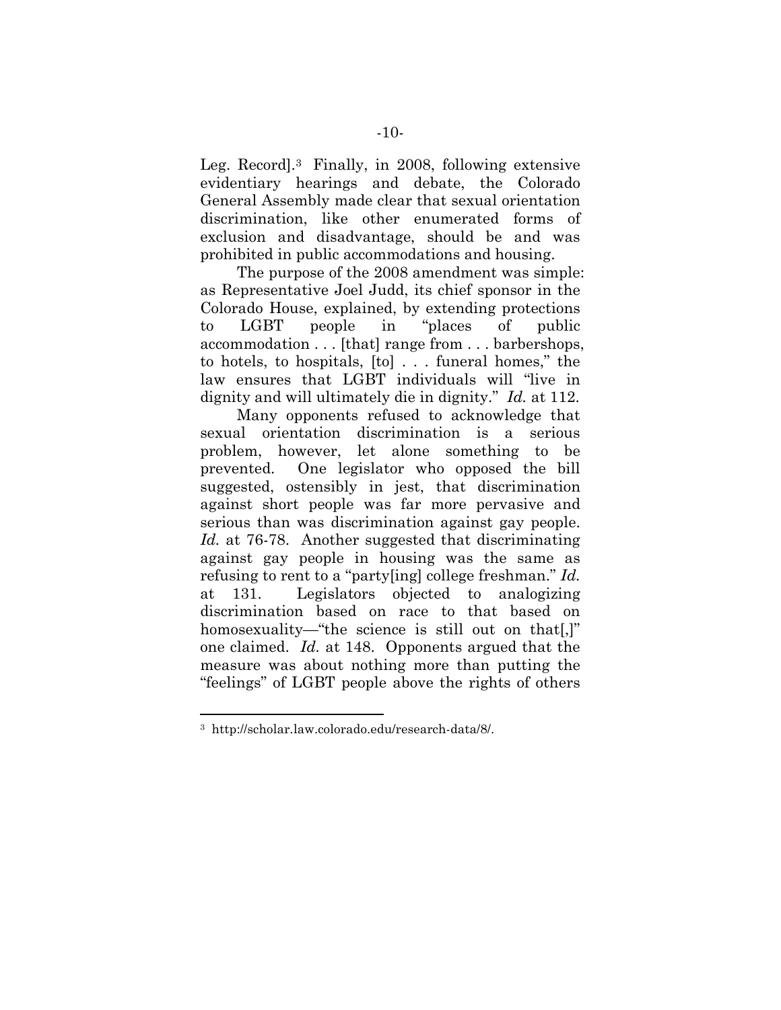Leg. Record].<sup>3</sup> Finally, in 2008, following extensive evidentiary hearings and debate, the Colorado General Assembly made clear that sexual orientation discrimination, like other enumerated forms of exclusion and disadvantage, should be and was prohibited in public accommodations and housing.

The purpose of the 2008 amendment was simple: as Representative Joel Judd, its chief sponsor in the Colorado House, explained, by extending protections to LGBT people in "places of public accommodation . . . [that] range from . . . barbershops, to hotels, to hospitals, [to] . . . funeral homes," the law ensures that LGBT individuals will "live in dignity and will ultimately die in dignity." *Id.* at 112.

Many opponents refused to acknowledge that sexual orientation discrimination is a serious problem, however, let alone something to be prevented. One legislator who opposed the bill suggested, ostensibly in jest, that discrimination against short people was far more pervasive and serious than was discrimination against gay people. Id. at 76-78. Another suggested that discriminating against gay people in housing was the same as refusing to rent to a "party[ing] college freshman." *Id.* at 131. Legislators objected to analogizing discrimination based on race to that based on homosexuality—"the science is still out on that.]" one claimed. *Id.* at 148. Opponents argued that the measure was about nothing more than putting the "feelings" of LGBT people above the rights of others

<sup>3</sup> http://scholar.law.colorado.edu/research-data/8/.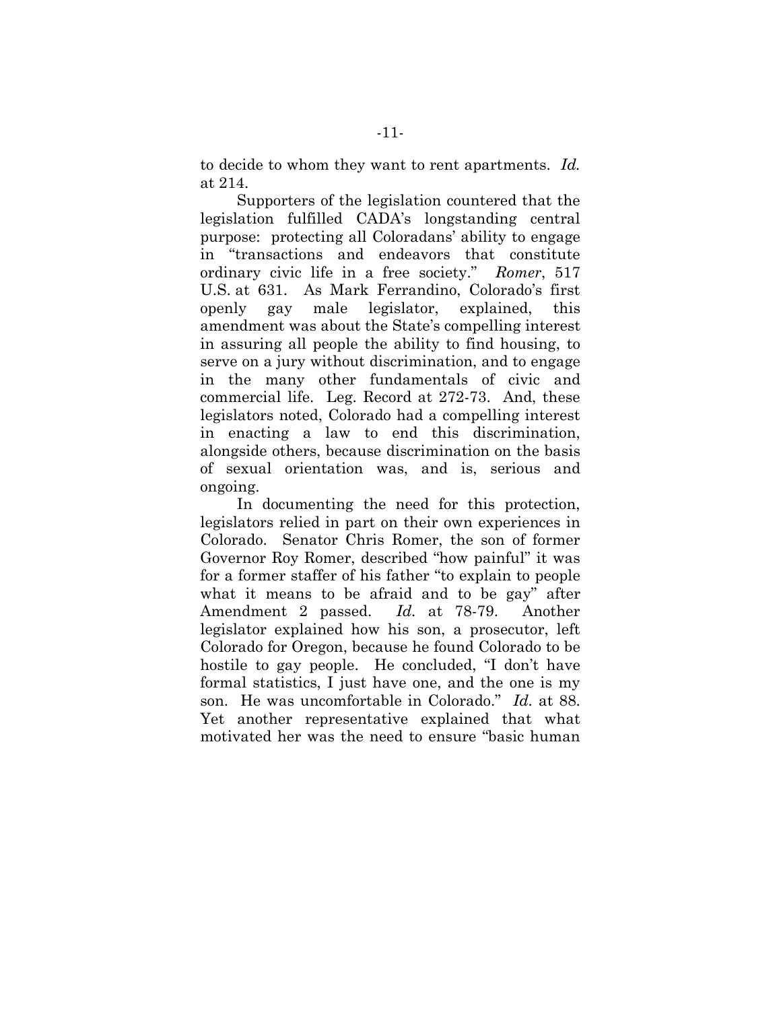to decide to whom they want to rent apartments. *Id.* at 214.

Supporters of the legislation countered that the legislation fulfilled CADA's longstanding central purpose: protecting all Coloradans' ability to engage in "transactions and endeavors that constitute ordinary civic life in a free society." *Romer*, 517 U.S. at 631. As Mark Ferrandino, Colorado's first openly gay male legislator, explained, this amendment was about the State's compelling interest in assuring all people the ability to find housing, to serve on a jury without discrimination, and to engage in the many other fundamentals of civic and commercial life. Leg. Record at 272-73. And, these legislators noted, Colorado had a compelling interest in enacting a law to end this discrimination, alongside others, because discrimination on the basis of sexual orientation was, and is, serious and ongoing.

In documenting the need for this protection, legislators relied in part on their own experiences in Colorado. Senator Chris Romer, the son of former Governor Roy Romer, described "how painful" it was for a former staffer of his father "to explain to people what it means to be afraid and to be gay" after Amendment 2 passed. *Id.* at 78-79. Another legislator explained how his son, a prosecutor, left Colorado for Oregon, because he found Colorado to be hostile to gay people. He concluded, "I don't have formal statistics, I just have one, and the one is my son. He was uncomfortable in Colorado." *Id.* at 88. Yet another representative explained that what motivated her was the need to ensure "basic human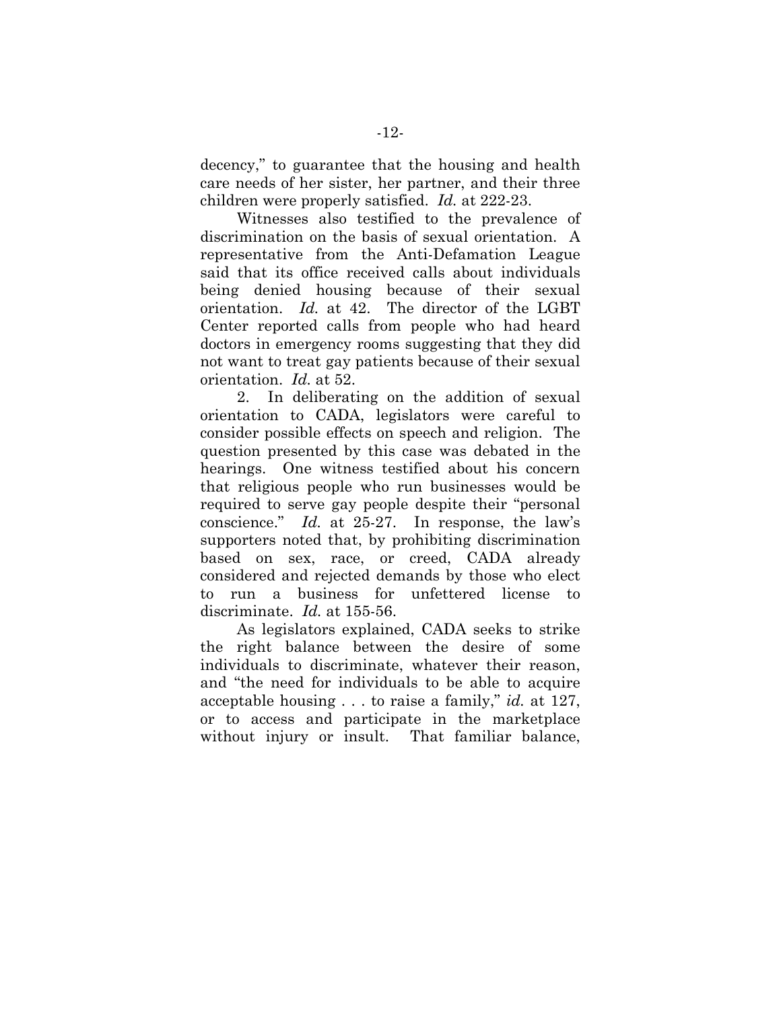decency," to guarantee that the housing and health care needs of her sister, her partner, and their three children were properly satisfied. *Id.* at 222-23.

Witnesses also testified to the prevalence of discrimination on the basis of sexual orientation. A representative from the Anti-Defamation League said that its office received calls about individuals being denied housing because of their sexual orientation. *Id.* at 42. The director of the LGBT Center reported calls from people who had heard doctors in emergency rooms suggesting that they did not want to treat gay patients because of their sexual orientation. *Id.* at 52.

2. In deliberating on the addition of sexual orientation to CADA, legislators were careful to consider possible effects on speech and religion. The question presented by this case was debated in the hearings. One witness testified about his concern that religious people who run businesses would be required to serve gay people despite their "personal conscience." *Id.* at 25-27. In response, the law's supporters noted that, by prohibiting discrimination based on sex, race, or creed, CADA already considered and rejected demands by those who elect to run a business for unfettered license to discriminate. *Id.* at 155-56.

As legislators explained, CADA seeks to strike the right balance between the desire of some individuals to discriminate, whatever their reason, and "the need for individuals to be able to acquire acceptable housing . . . to raise a family," *id.* at 127, or to access and participate in the marketplace without injury or insult. That familiar balance,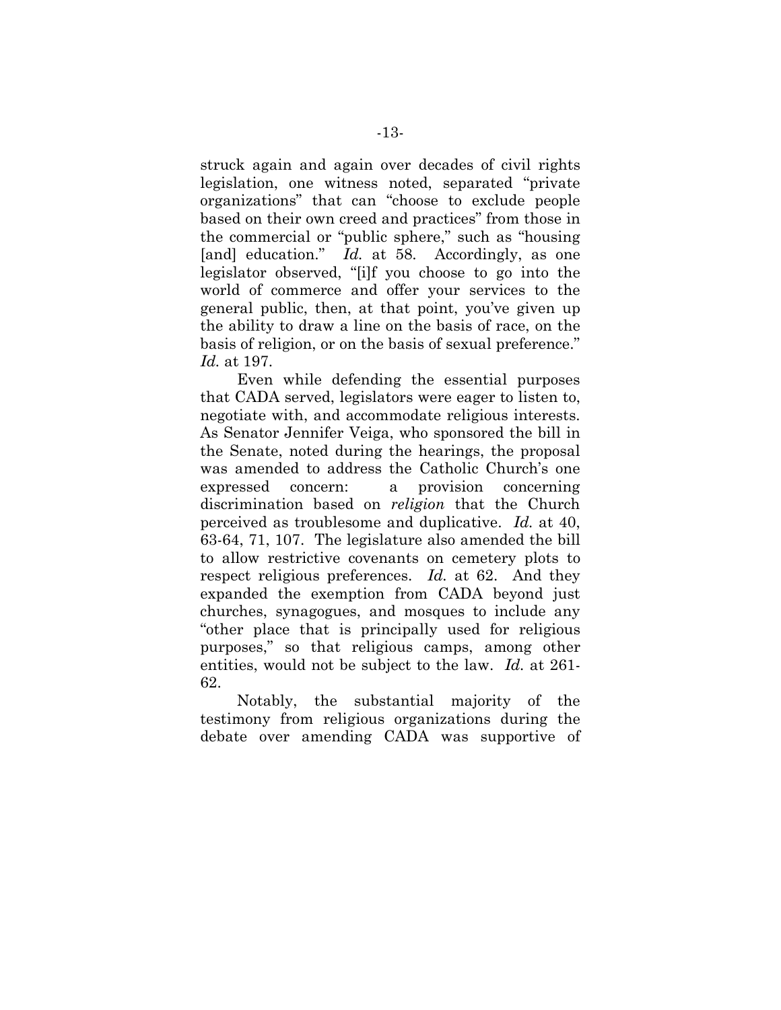struck again and again over decades of civil rights legislation, one witness noted, separated "private organizations" that can "choose to exclude people based on their own creed and practices" from those in the commercial or "public sphere," such as "housing [and] education." *Id.* at 58. Accordingly, as one legislator observed, "[i]f you choose to go into the world of commerce and offer your services to the general public, then, at that point, you've given up the ability to draw a line on the basis of race, on the basis of religion, or on the basis of sexual preference." *Id.* at 197.

Even while defending the essential purposes that CADA served, legislators were eager to listen to, negotiate with, and accommodate religious interests. As Senator Jennifer Veiga, who sponsored the bill in the Senate, noted during the hearings, the proposal was amended to address the Catholic Church's one expressed concern: a provision concerning discrimination based on *religion* that the Church perceived as troublesome and duplicative. *Id.* at 40, 63-64, 71, 107. The legislature also amended the bill to allow restrictive covenants on cemetery plots to respect religious preferences. *Id.* at 62. And they expanded the exemption from CADA beyond just churches, synagogues, and mosques to include any "other place that is principally used for religious purposes," so that religious camps, among other entities, would not be subject to the law. *Id.* at 261- 62.

Notably, the substantial majority of the testimony from religious organizations during the debate over amending CADA was supportive of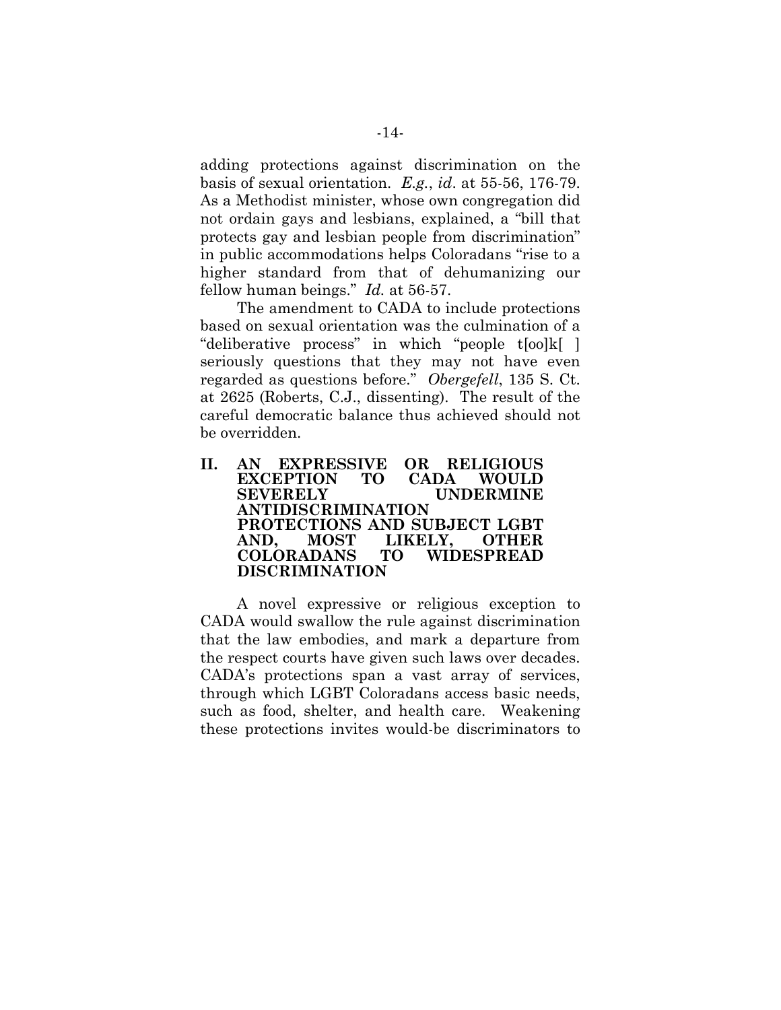adding protections against discrimination on the basis of sexual orientation. *E.g.*, *id*. at 55-56, 176-79. As a Methodist minister, whose own congregation did not ordain gays and lesbians, explained, a "bill that protects gay and lesbian people from discrimination" in public accommodations helps Coloradans "rise to a higher standard from that of dehumanizing our fellow human beings." *Id.* at 56-57.

The amendment to CADA to include protections based on sexual orientation was the culmination of a "deliberative process" in which "people t[oo]k[ ] seriously questions that they may not have even regarded as questions before." *Obergefell*, 135 S. Ct. at 2625 (Roberts, C.J., dissenting). The result of the careful democratic balance thus achieved should not be overridden.

**II. AN EXPRESSIVE OR RELIGIOUS EXCEPTION TO CADA WOULD SEVERELY UNDERMINE ANTIDISCRIMINATION PROTECTIONS AND SUBJECT LGBT AND, MOST LIKELY, OTHER COLORADANS TO WIDESPREAD DISCRIMINATION**

A novel expressive or religious exception to CADA would swallow the rule against discrimination that the law embodies, and mark a departure from the respect courts have given such laws over decades. CADA's protections span a vast array of services, through which LGBT Coloradans access basic needs, such as food, shelter, and health care. Weakening these protections invites would-be discriminators to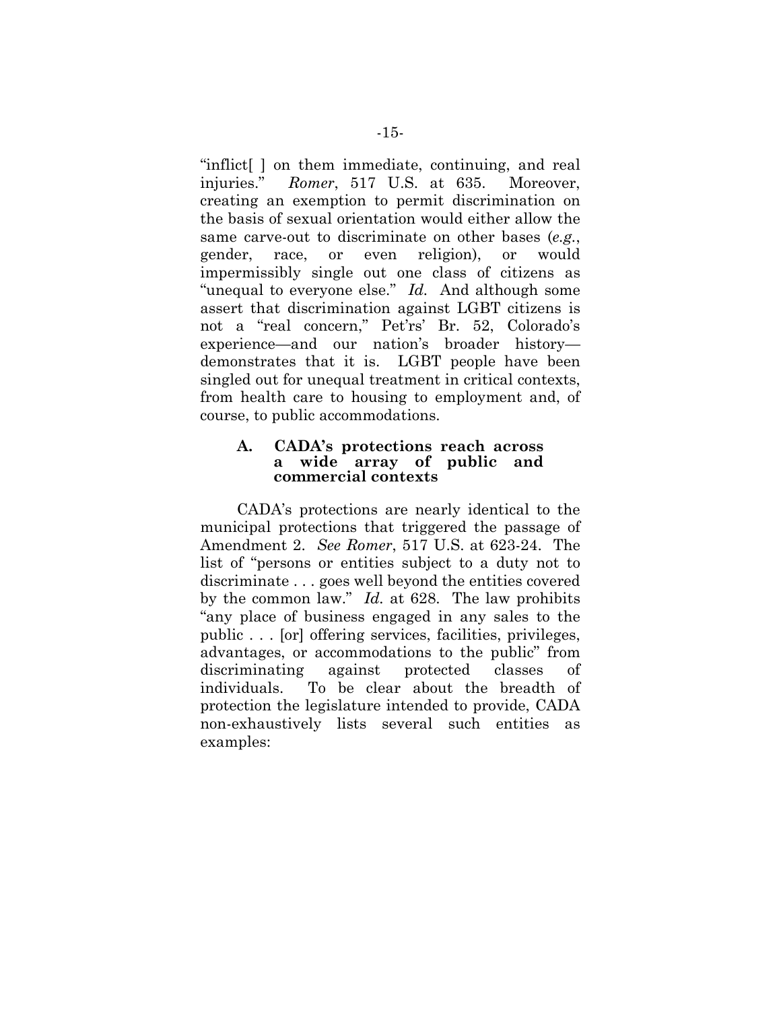"inflict[ ] on them immediate, continuing, and real injuries." *Romer*, 517 U.S. at 635. Moreover, creating an exemption to permit discrimination on the basis of sexual orientation would either allow the same carve-out to discriminate on other bases (*e.g.*, gender, race, or even religion), or would impermissibly single out one class of citizens as "unequal to everyone else." *Id.* And although some assert that discrimination against LGBT citizens is not a "real concern," Pet'rs' Br. 52, Colorado's experience—and our nation's broader history demonstrates that it is. LGBT people have been singled out for unequal treatment in critical contexts, from health care to housing to employment and, of course, to public accommodations.

#### **A. CADA's protections reach across a wide array of public and commercial contexts**

CADA's protections are nearly identical to the municipal protections that triggered the passage of Amendment 2. *See Romer*, 517 U.S. at 623-24. The list of "persons or entities subject to a duty not to discriminate . . . goes well beyond the entities covered by the common law." *Id.* at 628. The law prohibits "any place of business engaged in any sales to the public . . . [or] offering services, facilities, privileges, advantages, or accommodations to the public" from discriminating against protected classes of individuals. To be clear about the breadth of protection the legislature intended to provide, CADA non-exhaustively lists several such entities as examples: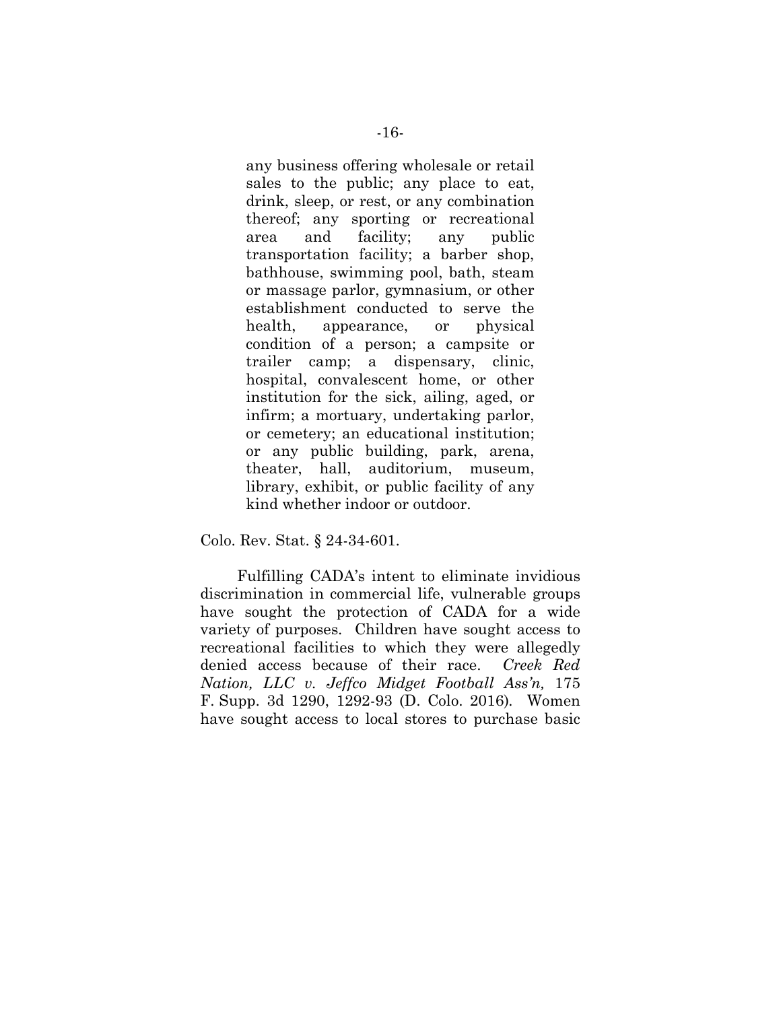any business offering wholesale or retail sales to the public; any place to eat, drink, sleep, or rest, or any combination thereof; any sporting or recreational area and facility; any public transportation facility; a barber shop, bathhouse, swimming pool, bath, steam or massage parlor, gymnasium, or other establishment conducted to serve the health, appearance, or physical condition of a person; a campsite or trailer camp; a dispensary, clinic, hospital, convalescent home, or other institution for the sick, ailing, aged, or infirm; a mortuary, undertaking parlor, or cemetery; an educational institution; or any public building, park, arena, theater, hall, auditorium, museum, library, exhibit, or public facility of any kind whether indoor or outdoor.

Colo. Rev. Stat. § 24-34-601.

Fulfilling CADA's intent to eliminate invidious discrimination in commercial life, vulnerable groups have sought the protection of CADA for a wide variety of purposes. Children have sought access to recreational facilities to which they were allegedly denied access because of their race. *Creek Red Nation, LLC v. Jeffco Midget Football Ass'n,* 175 F. Supp. 3d 1290, 1292-93 (D. Colo. 2016)*.* Women have sought access to local stores to purchase basic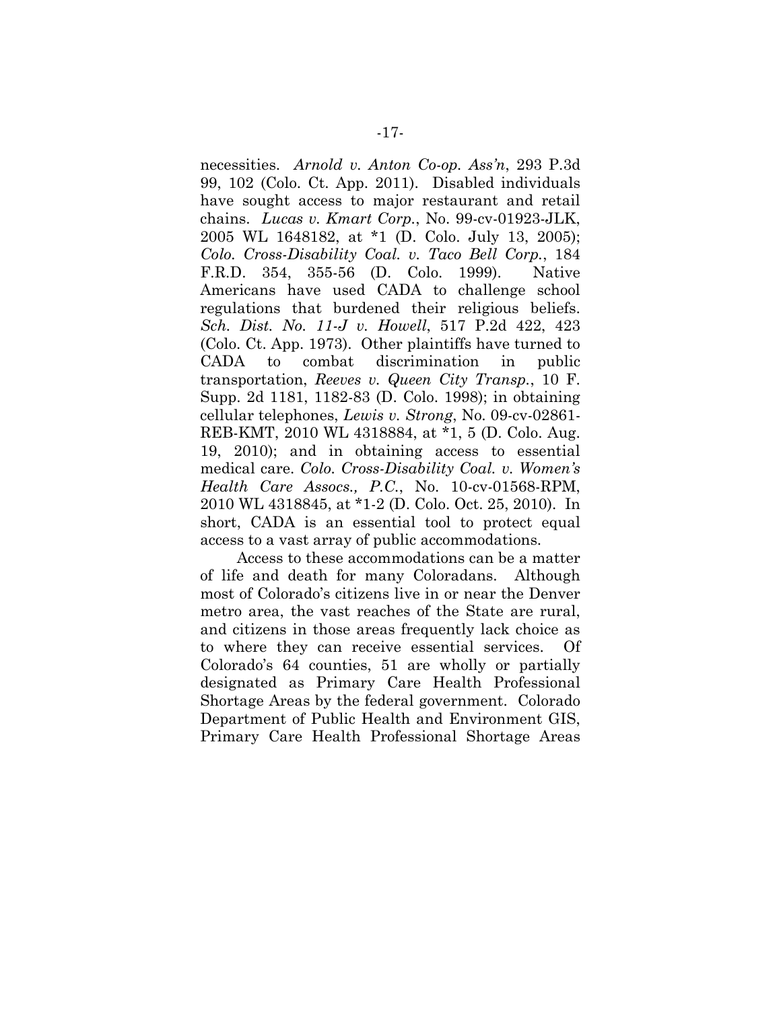necessities. *Arnold v. Anton Co-op. Ass'n*, 293 P.3d 99, 102 (Colo. Ct. App. 2011). Disabled individuals have sought access to major restaurant and retail chains. *Lucas v. Kmart Corp.*, No. 99-cv-01923-JLK, 2005 WL 1648182, at \*1 (D. Colo. July 13, 2005); *Colo. Cross-Disability Coal. v. Taco Bell Corp.*, 184 F.R.D. 354, 355-56 (D. Colo. 1999). Native Americans have used CADA to challenge school regulations that burdened their religious beliefs. *Sch. Dist. No. 11-J v. Howell*, 517 P.2d 422, 423 (Colo. Ct. App. 1973). Other plaintiffs have turned to CADA to combat discrimination in public transportation, *Reeves v. Queen City Transp.*, 10 F. Supp. 2d 1181, 1182-83 (D. Colo. 1998); in obtaining cellular telephones, *Lewis v. Strong*, No. 09-cv-02861- REB-KMT, 2010 WL 4318884, at \*1, 5 (D. Colo. Aug. 19, 2010); and in obtaining access to essential medical care. *Colo. Cross-Disability Coal. v. Women's Health Care Assocs., P.C.*, No. 10-cv-01568-RPM, 2010 WL 4318845, at \*1-2 (D. Colo. Oct. 25, 2010). In short, CADA is an essential tool to protect equal access to a vast array of public accommodations.

Access to these accommodations can be a matter of life and death for many Coloradans. Although most of Colorado's citizens live in or near the Denver metro area, the vast reaches of the State are rural, and citizens in those areas frequently lack choice as to where they can receive essential services. Of Colorado's 64 counties, 51 are wholly or partially designated as Primary Care Health Professional Shortage Areas by the federal government. Colorado Department of Public Health and Environment GIS, Primary Care Health Professional Shortage Areas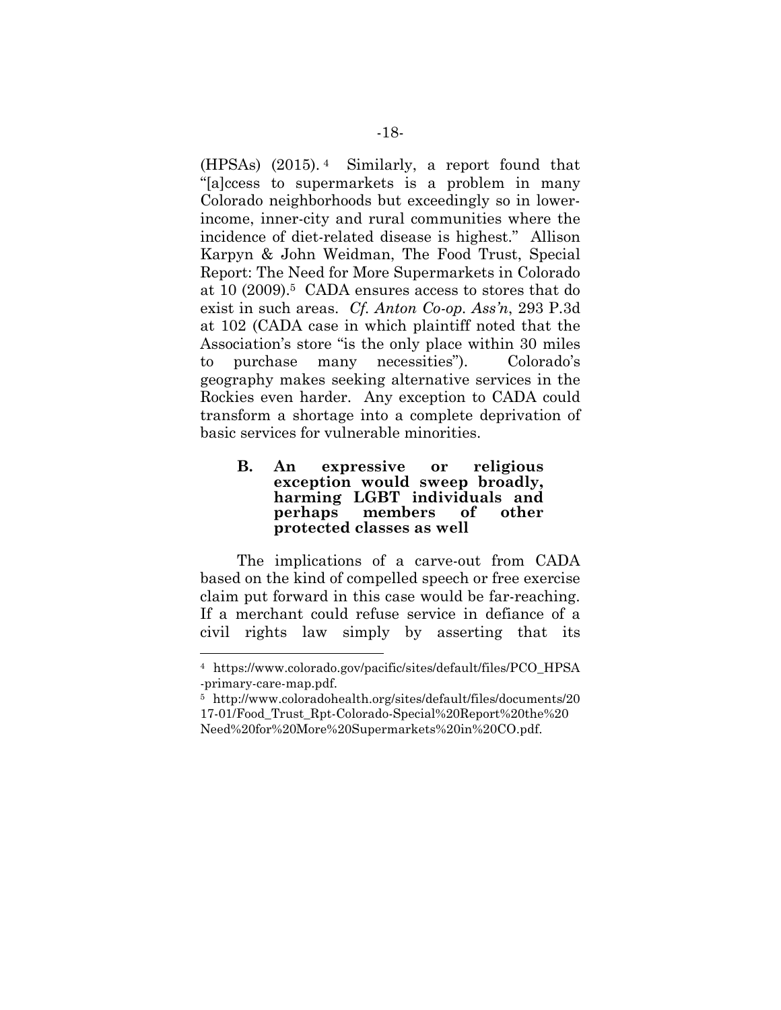(HPSAs) (2015). <sup>4</sup> Similarly, a report found that "[a]ccess to supermarkets is a problem in many Colorado neighborhoods but exceedingly so in lowerincome, inner-city and rural communities where the incidence of diet-related disease is highest." Allison Karpyn & John Weidman, The Food Trust, Special Report: The Need for More Supermarkets in Colorado at 10 (2009).<sup>5</sup> CADA ensures access to stores that do exist in such areas. *Cf. Anton Co-op. Ass'n*, 293 P.3d at 102 (CADA case in which plaintiff noted that the Association's store "is the only place within 30 miles to purchase many necessities"). Colorado's geography makes seeking alternative services in the Rockies even harder. Any exception to CADA could transform a shortage into a complete deprivation of basic services for vulnerable minorities.

#### **B. An expressive or religious exception would sweep broadly, harming LGBT individuals and perhaps members of other protected classes as well**

The implications of a carve-out from CADA based on the kind of compelled speech or free exercise claim put forward in this case would be far-reaching. If a merchant could refuse service in defiance of a civil rights law simply by asserting that its

<sup>4</sup> https://www.colorado.gov/pacific/sites/default/files/PCO\_HPSA -primary-care-map.pdf.

<sup>5</sup> http://www.coloradohealth.org/sites/default/files/documents/20 17-01/Food\_Trust\_Rpt-Colorado-Special%20Report%20the%20 Need%20for%20More%20Supermarkets%20in%20CO.pdf.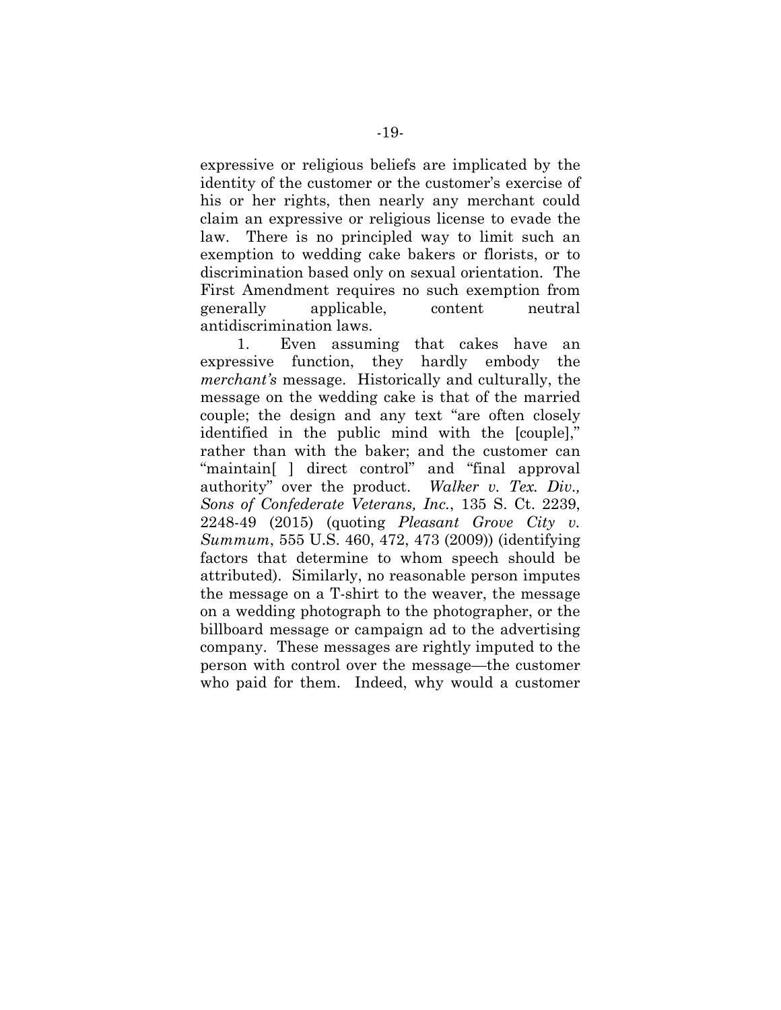expressive or religious beliefs are implicated by the identity of the customer or the customer's exercise of his or her rights, then nearly any merchant could claim an expressive or religious license to evade the law. There is no principled way to limit such an exemption to wedding cake bakers or florists, or to discrimination based only on sexual orientation. The First Amendment requires no such exemption from generally applicable, content neutral antidiscrimination laws.

1. Even assuming that cakes have an expressive function, they hardly embody the *merchant's* message. Historically and culturally, the message on the wedding cake is that of the married couple; the design and any text "are often closely identified in the public mind with the [couple]," rather than with the baker; and the customer can "maintain[ ] direct control" and "final approval authority" over the product. *Walker v. Tex. Div., Sons of Confederate Veterans, Inc.*, 135 S. Ct. 2239, 2248-49 (2015) (quoting *Pleasant Grove City v. Summum*, 555 U.S. 460, 472, 473 (2009)) (identifying factors that determine to whom speech should be attributed). Similarly, no reasonable person imputes the message on a T-shirt to the weaver, the message on a wedding photograph to the photographer, or the billboard message or campaign ad to the advertising company. These messages are rightly imputed to the person with control over the message—the customer who paid for them. Indeed, why would a customer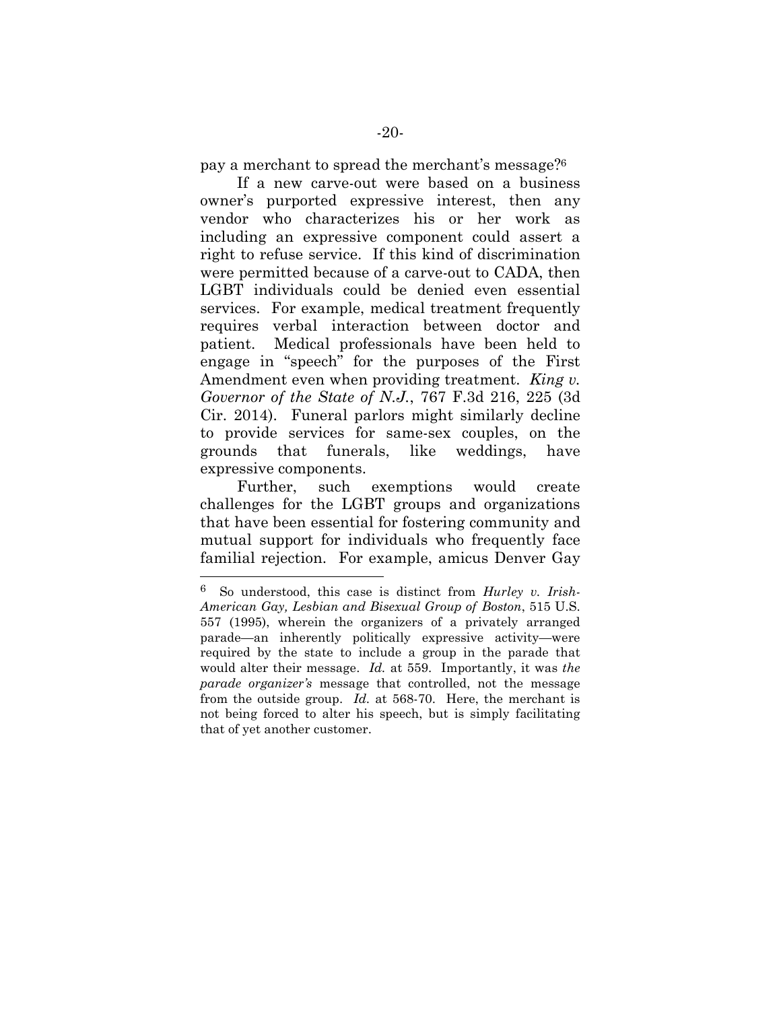pay a merchant to spread the merchant's message?<sup>6</sup>

If a new carve-out were based on a business owner's purported expressive interest, then any vendor who characterizes his or her work as including an expressive component could assert a right to refuse service. If this kind of discrimination were permitted because of a carve-out to CADA, then LGBT individuals could be denied even essential services. For example, medical treatment frequently requires verbal interaction between doctor and patient. Medical professionals have been held to engage in "speech" for the purposes of the First Amendment even when providing treatment. *King v. Governor of the State of N.J.*, 767 F.3d 216, 225 (3d Cir. 2014). Funeral parlors might similarly decline to provide services for same-sex couples, on the grounds that funerals, like weddings, have expressive components.

Further, such exemptions would create challenges for the LGBT groups and organizations that have been essential for fostering community and mutual support for individuals who frequently face familial rejection. For example, amicus Denver Gay

<sup>6</sup> So understood, this case is distinct from *Hurley v. Irish-American Gay, Lesbian and Bisexual Group of Boston*, 515 U.S. 557 (1995), wherein the organizers of a privately arranged parade—an inherently politically expressive activity—were required by the state to include a group in the parade that would alter their message. *Id.* at 559. Importantly, it was *the parade organizer's* message that controlled, not the message from the outside group. *Id.* at 568-70. Here, the merchant is not being forced to alter his speech, but is simply facilitating that of yet another customer.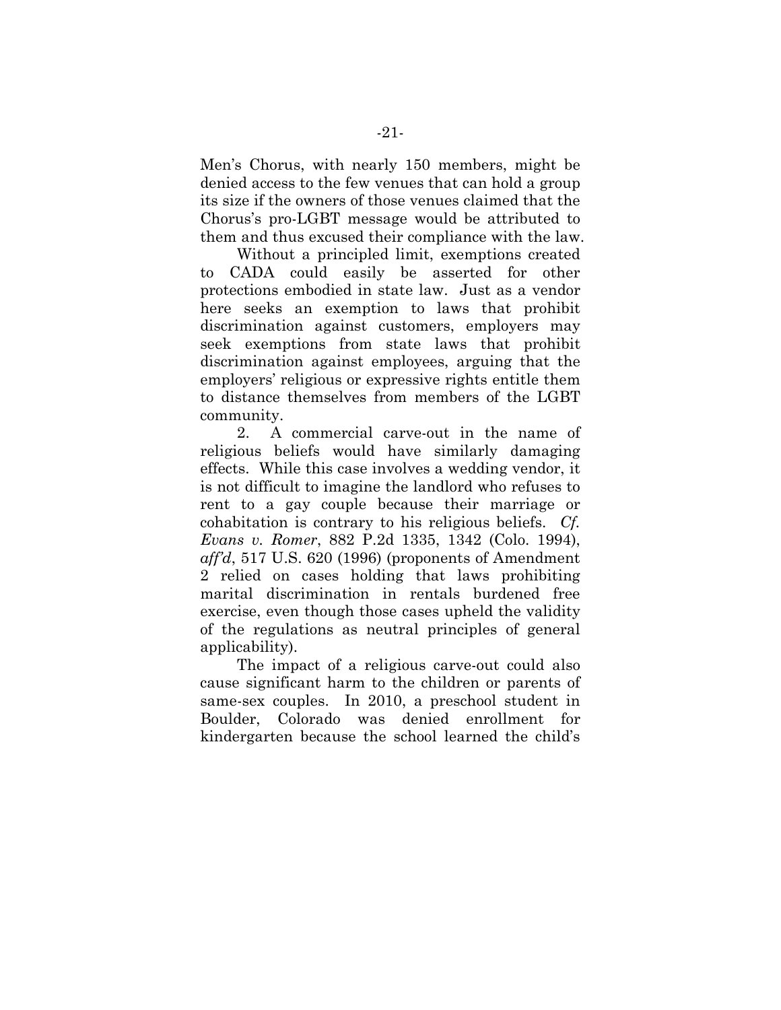Men's Chorus, with nearly 150 members, might be denied access to the few venues that can hold a group its size if the owners of those venues claimed that the Chorus's pro-LGBT message would be attributed to them and thus excused their compliance with the law.

Without a principled limit, exemptions created to CADA could easily be asserted for other protections embodied in state law. Just as a vendor here seeks an exemption to laws that prohibit discrimination against customers, employers may seek exemptions from state laws that prohibit discrimination against employees, arguing that the employers' religious or expressive rights entitle them to distance themselves from members of the LGBT community.

2. A commercial carve-out in the name of religious beliefs would have similarly damaging effects. While this case involves a wedding vendor, it is not difficult to imagine the landlord who refuses to rent to a gay couple because their marriage or cohabitation is contrary to his religious beliefs. *Cf. Evans v. Romer*, 882 P.2d 1335, 1342 (Colo. 1994), *aff'd*, 517 U.S. 620 (1996) (proponents of Amendment 2 relied on cases holding that laws prohibiting marital discrimination in rentals burdened free exercise, even though those cases upheld the validity of the regulations as neutral principles of general applicability).

The impact of a religious carve-out could also cause significant harm to the children or parents of same-sex couples. In 2010, a preschool student in Boulder, Colorado was denied enrollment for kindergarten because the school learned the child's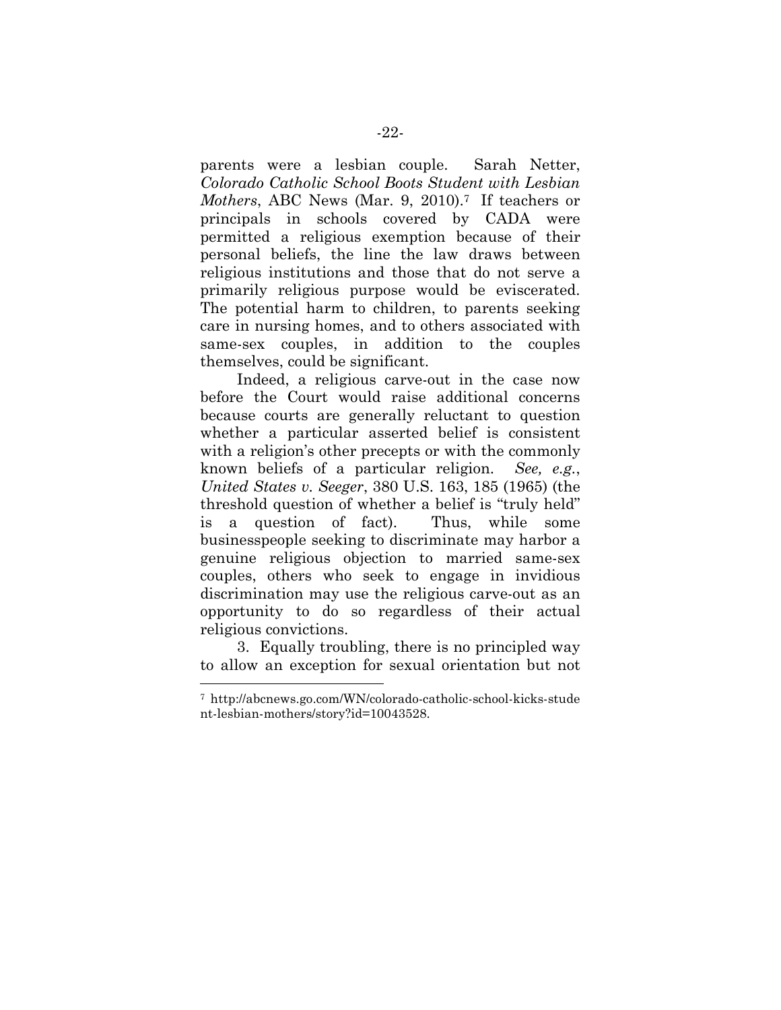parents were a lesbian couple. Sarah Netter, *Colorado Catholic School Boots Student with Lesbian Mothers*, ABC News (Mar. 9, 2010).<sup>7</sup> If teachers or principals in schools covered by CADA were permitted a religious exemption because of their personal beliefs, the line the law draws between religious institutions and those that do not serve a primarily religious purpose would be eviscerated. The potential harm to children, to parents seeking care in nursing homes, and to others associated with same-sex couples, in addition to the couples themselves, could be significant.

Indeed, a religious carve-out in the case now before the Court would raise additional concerns because courts are generally reluctant to question whether a particular asserted belief is consistent with a religion's other precepts or with the commonly known beliefs of a particular religion. *See, e.g.*, *United States v. Seeger*, 380 U.S. 163, 185 (1965) (the threshold question of whether a belief is "truly held" is a question of fact). Thus, while some businesspeople seeking to discriminate may harbor a genuine religious objection to married same-sex couples, others who seek to engage in invidious discrimination may use the religious carve-out as an opportunity to do so regardless of their actual religious convictions.

3. Equally troubling, there is no principled way to allow an exception for sexual orientation but not

<sup>7</sup> http://abcnews.go.com/WN/colorado-catholic-school-kicks-stude nt-lesbian-mothers/story?id=10043528.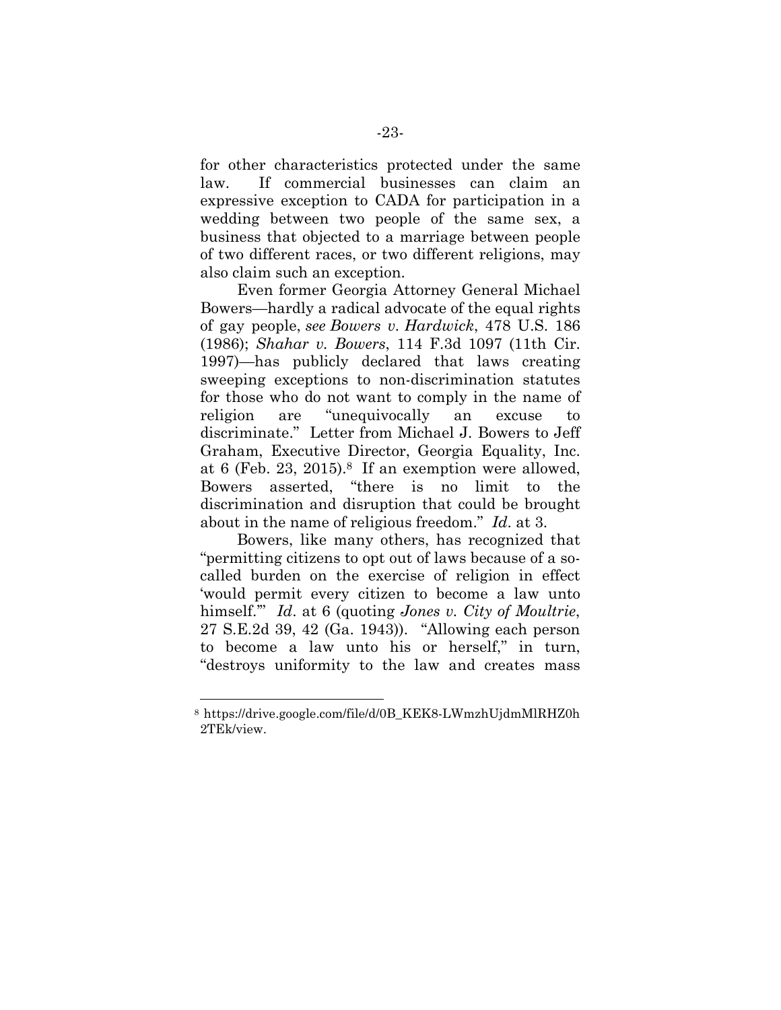for other characteristics protected under the same law. If commercial businesses can claim an expressive exception to CADA for participation in a wedding between two people of the same sex, a business that objected to a marriage between people of two different races, or two different religions, may also claim such an exception.

Even former Georgia Attorney General Michael Bowers—hardly a radical advocate of the equal rights of gay people, *see Bowers v. Hardwick*, 478 U.S. 186 (1986); *Shahar v. Bowers*, 114 F.3d 1097 (11th Cir. 1997)*—*has publicly declared that laws creating sweeping exceptions to non-discrimination statutes for those who do not want to comply in the name of religion are "unequivocally an excuse to discriminate." Letter from Michael J. Bowers to Jeff Graham, Executive Director, Georgia Equality, Inc. at 6 (Feb. 23, 2015).<sup>8</sup> If an exemption were allowed, Bowers asserted, "there is no limit to the discrimination and disruption that could be brought about in the name of religious freedom." *Id*. at 3.

Bowers, like many others, has recognized that "permitting citizens to opt out of laws because of a socalled burden on the exercise of religion in effect 'would permit every citizen to become a law unto himself.'" *Id*. at 6 (quoting *Jones v. City of Moultrie*, 27 S.E.2d 39, 42 (Ga. 1943)). "Allowing each person to become a law unto his or herself," in turn, "destroys uniformity to the law and creates mass

<sup>8</sup> https://drive.google.com/file/d/0B\_KEK8-LWmzhUjdmMlRHZ0h 2TEk/view.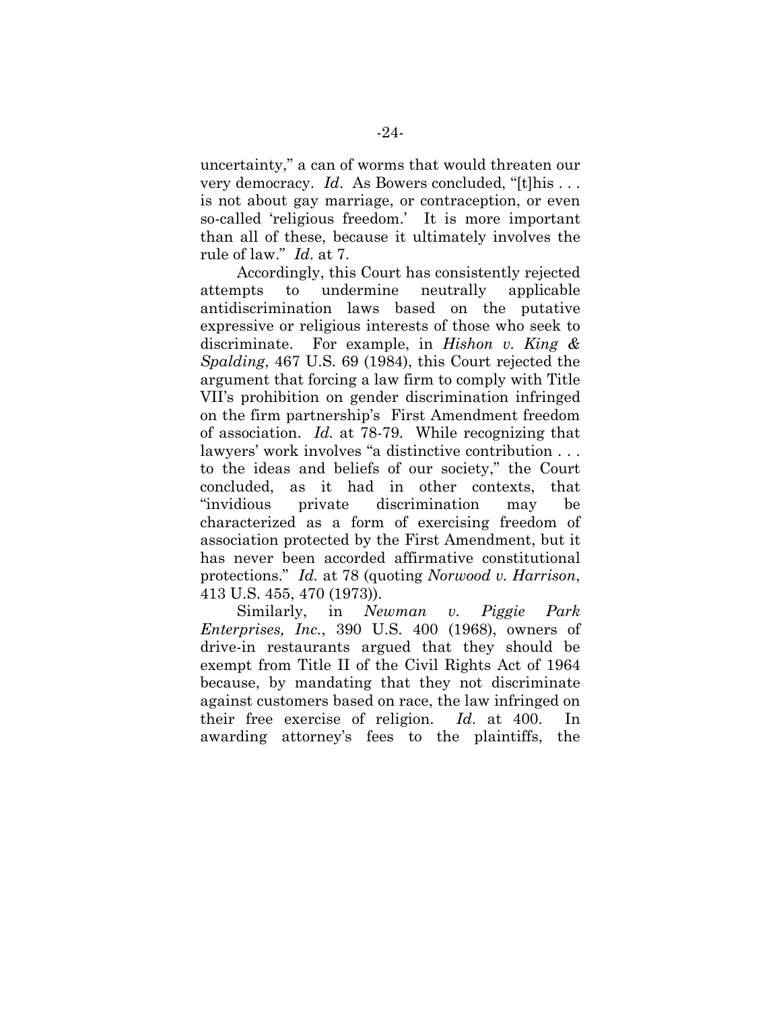uncertainty," a can of worms that would threaten our very democracy. *Id*. As Bowers concluded, "[t]his . . . is not about gay marriage, or contraception, or even so-called 'religious freedom.' It is more important than all of these, because it ultimately involves the rule of law." *Id*. at 7.

Accordingly, this Court has consistently rejected attempts to undermine neutrally applicable antidiscrimination laws based on the putative expressive or religious interests of those who seek to discriminate. For example, in *Hishon v. King & Spalding*, 467 U.S. 69 (1984), this Court rejected the argument that forcing a law firm to comply with Title VII's prohibition on gender discrimination infringed on the firm partnership's First Amendment freedom of association. *Id.* at 78-79. While recognizing that lawyers' work involves "a distinctive contribution . . . to the ideas and beliefs of our society," the Court concluded, as it had in other contexts, that "invidious private discrimination may be characterized as a form of exercising freedom of association protected by the First Amendment, but it has never been accorded affirmative constitutional protections." *Id.* at 78 (quoting *Norwood v. Harrison*, 413 U.S. 455, 470 (1973)).

Similarly, in *Newman v. Piggie Park Enterprises, Inc.*, 390 U.S. 400 (1968), owners of drive-in restaurants argued that they should be exempt from Title II of the Civil Rights Act of 1964 because, by mandating that they not discriminate against customers based on race, the law infringed on their free exercise of religion. *Id*. at 400. In awarding attorney's fees to the plaintiffs, the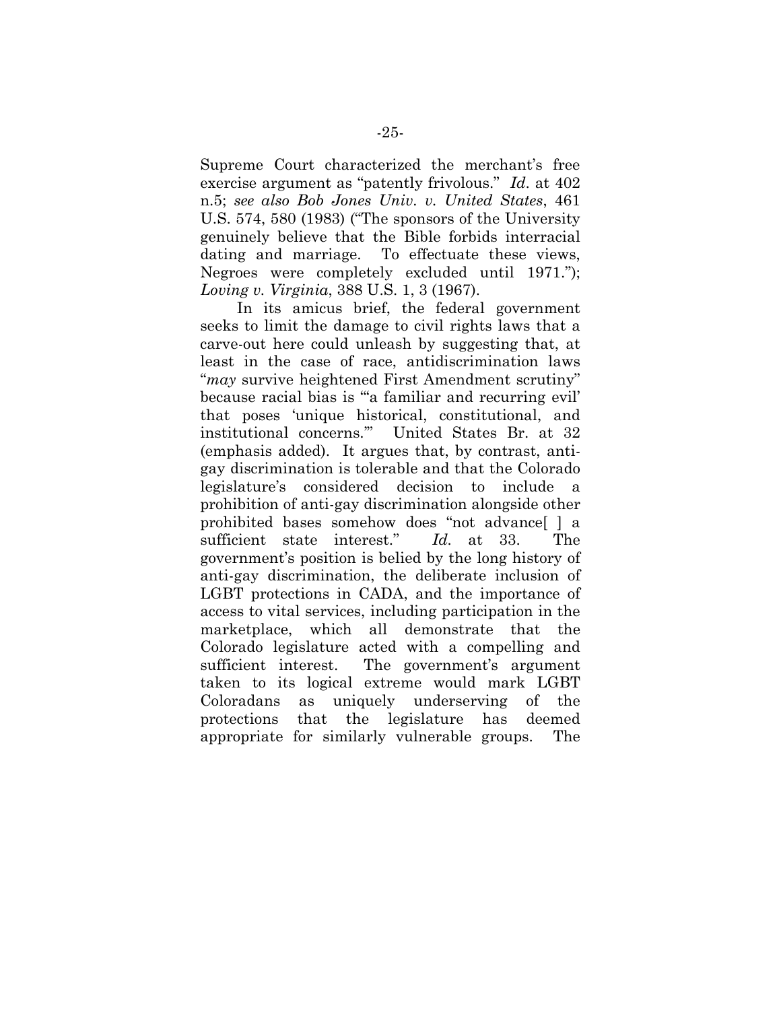Supreme Court characterized the merchant's free exercise argument as "patently frivolous." *Id*. at 402 n.5; *see also Bob Jones Univ. v. United States*, 461 U.S. 574, 580 (1983) ("The sponsors of the University genuinely believe that the Bible forbids interracial dating and marriage. To effectuate these views, Negroes were completely excluded until 1971."); *Loving v. Virginia*, 388 U.S. 1, 3 (1967).

In its amicus brief, the federal government seeks to limit the damage to civil rights laws that a carve-out here could unleash by suggesting that, at least in the case of race, antidiscrimination laws "*may* survive heightened First Amendment scrutiny" because racial bias is "'a familiar and recurring evil' that poses 'unique historical, constitutional, and institutional concerns.'" United States Br. at 32 (emphasis added). It argues that, by contrast, antigay discrimination is tolerable and that the Colorado legislature's considered decision to include prohibition of anti-gay discrimination alongside other prohibited bases somehow does "not advance[ ] a sufficient state interest." *Id.* at 33. The government's position is belied by the long history of anti-gay discrimination, the deliberate inclusion of LGBT protections in CADA, and the importance of access to vital services, including participation in the marketplace, which all demonstrate that the Colorado legislature acted with a compelling and sufficient interest. The government's argument taken to its logical extreme would mark LGBT Coloradans as uniquely underserving of the protections that the legislature has deemed appropriate for similarly vulnerable groups. The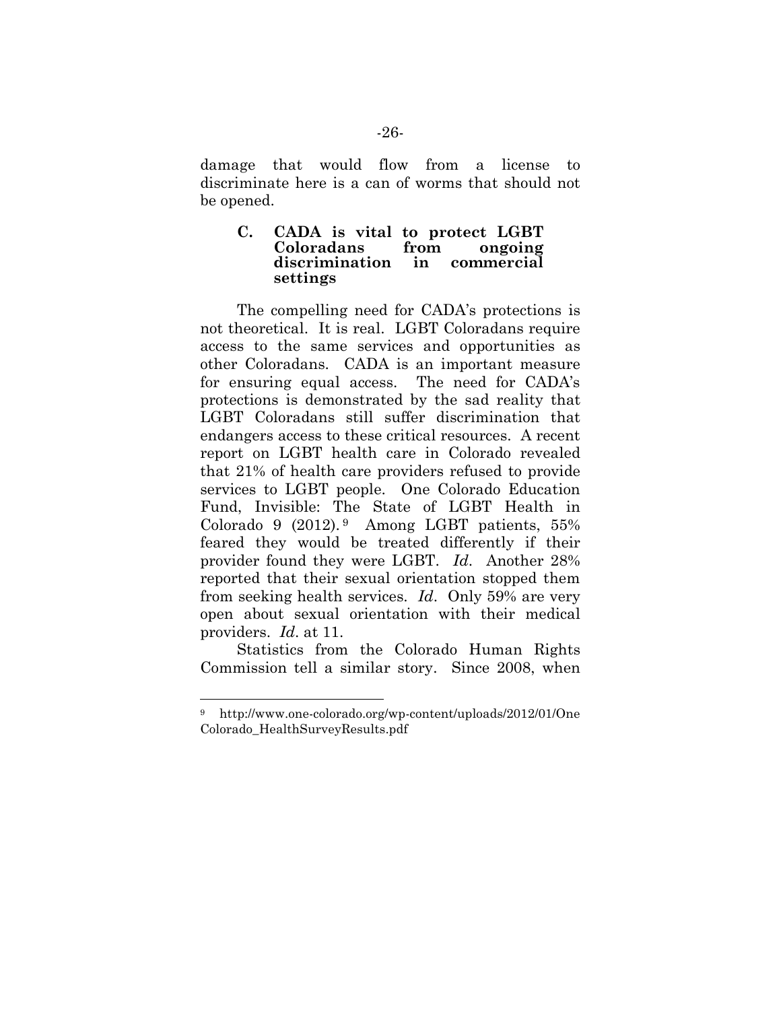damage that would flow from a license to discriminate here is a can of worms that should not be opened.

#### **C. CADA is vital to protect LGBT Coloradans from ongoing discrimination in commercial settings**

The compelling need for CADA's protections is not theoretical. It is real. LGBT Coloradans require access to the same services and opportunities as other Coloradans. CADA is an important measure for ensuring equal access. The need for CADA's protections is demonstrated by the sad reality that LGBT Coloradans still suffer discrimination that endangers access to these critical resources. A recent report on LGBT health care in Colorado revealed that 21% of health care providers refused to provide services to LGBT people. One Colorado Education Fund, Invisible: The State of LGBT Health in Colorado 9  $(2012).9$  Among LGBT patients, 55% feared they would be treated differently if their provider found they were LGBT. *Id*. Another 28% reported that their sexual orientation stopped them from seeking health services. *Id*. Only 59% are very open about sexual orientation with their medical providers. *Id*. at 11.

Statistics from the Colorado Human Rights Commission tell a similar story. Since 2008, when

<sup>9</sup> http://www.one-colorado.org/wp-content/uploads/2012/01/One Colorado\_HealthSurveyResults.pdf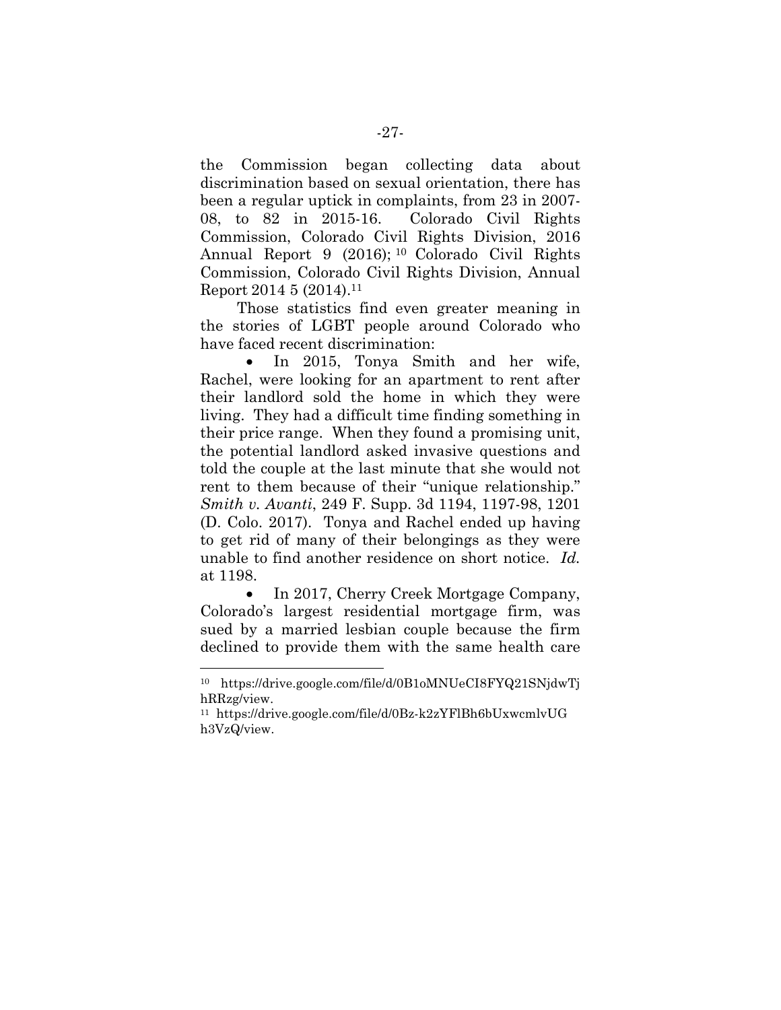the Commission began collecting data about discrimination based on sexual orientation, there has been a regular uptick in complaints, from 23 in 2007- 08, to 82 in 2015-16. Colorado Civil Rights Commission, Colorado Civil Rights Division, 2016 Annual Report 9 (2016); <sup>10</sup> Colorado Civil Rights Commission, Colorado Civil Rights Division, Annual Report 2014 5 (2014).<sup>11</sup>

Those statistics find even greater meaning in the stories of LGBT people around Colorado who have faced recent discrimination:

• In 2015, Tonya Smith and her wife, Rachel, were looking for an apartment to rent after their landlord sold the home in which they were living. They had a difficult time finding something in their price range. When they found a promising unit, the potential landlord asked invasive questions and told the couple at the last minute that she would not rent to them because of their "unique relationship." *Smith v. Avanti*, 249 F. Supp. 3d 1194, 1197-98, 1201 (D. Colo. 2017). Tonya and Rachel ended up having to get rid of many of their belongings as they were unable to find another residence on short notice. *Id.* at 1198.

 In 2017, Cherry Creek Mortgage Company, Colorado's largest residential mortgage firm, was sued by a married lesbian couple because the firm declined to provide them with the same health care

<sup>10</sup> https://drive.google.com/file/d/0B1oMNUeCI8FYQ21SNjdwTj hRRzg/view.

<sup>11</sup> https://drive.google.com/file/d/0Bz-k2zYFlBh6bUxwcmlvUG h3VzQ/view.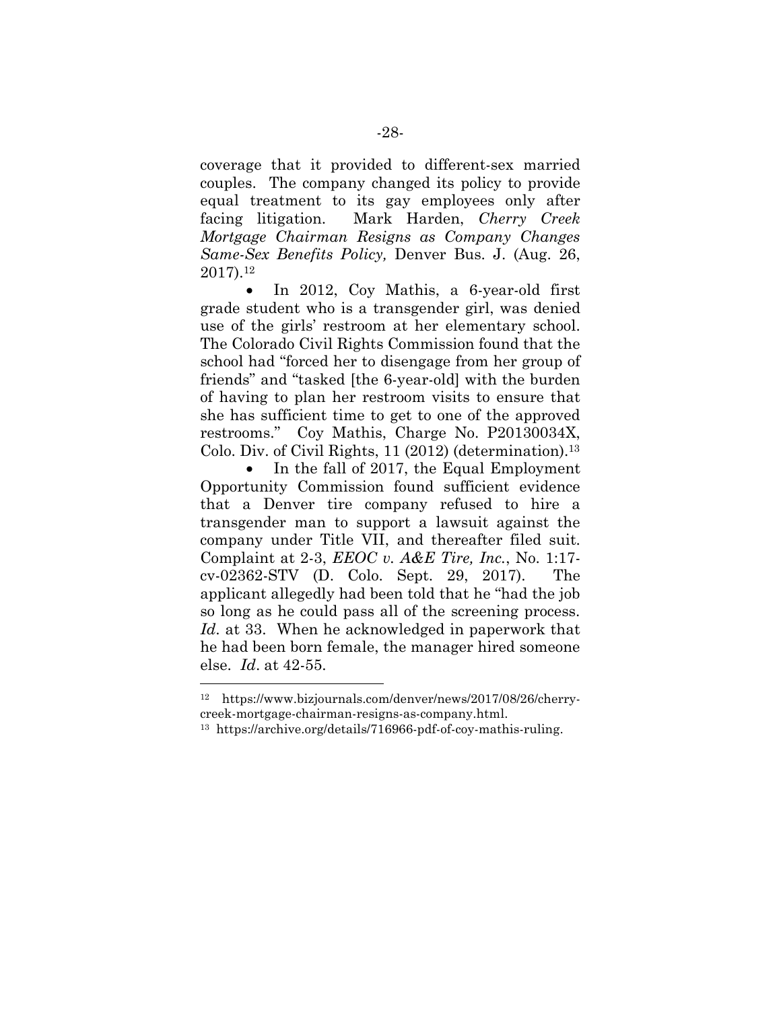coverage that it provided to different-sex married couples. The company changed its policy to provide equal treatment to its gay employees only after facing litigation. Mark Harden, *Cherry Creek Mortgage Chairman Resigns as Company Changes Same-Sex Benefits Policy,* Denver Bus. J. (Aug. 26, 2017).<sup>12</sup>

 In 2012, Coy Mathis, a 6-year-old first grade student who is a transgender girl, was denied use of the girls' restroom at her elementary school. The Colorado Civil Rights Commission found that the school had "forced her to disengage from her group of friends" and "tasked [the 6-year-old] with the burden of having to plan her restroom visits to ensure that she has sufficient time to get to one of the approved restrooms." Coy Mathis, Charge No. P20130034X, Colo. Div. of Civil Rights, 11 (2012) (determination).<sup>13</sup>

 In the fall of 2017, the Equal Employment Opportunity Commission found sufficient evidence that a Denver tire company refused to hire a transgender man to support a lawsuit against the company under Title VII, and thereafter filed suit. Complaint at 2-3, *EEOC v. A&E Tire, Inc.*, No. 1:17 cv-02362-STV (D. Colo. Sept. 29, 2017). The applicant allegedly had been told that he "had the job so long as he could pass all of the screening process. *Id*. at 33. When he acknowledged in paperwork that he had been born female, the manager hired someone else. *Id*. at 42-55.

<sup>12</sup> https://www.bizjournals.com/denver/news/2017/08/26/cherrycreek-mortgage-chairman-resigns-as-company.html.

<sup>13</sup> https://archive.org/details/716966-pdf-of-coy-mathis-ruling.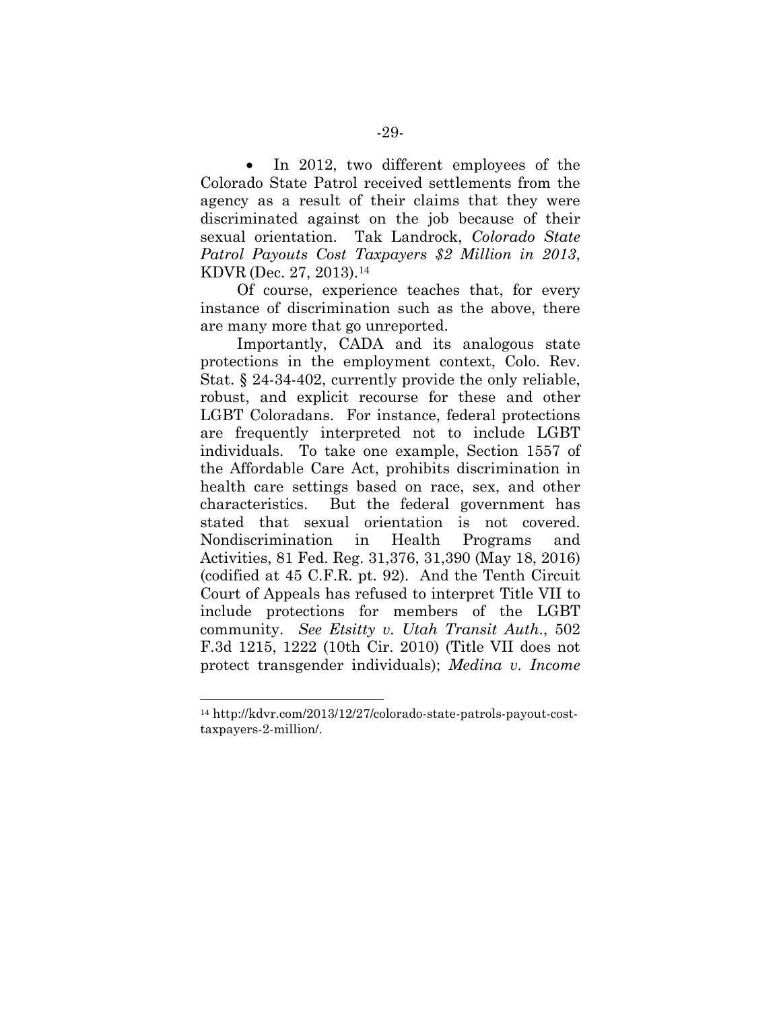In 2012, two different employees of the Colorado State Patrol received settlements from the agency as a result of their claims that they were discriminated against on the job because of their sexual orientation. Tak Landrock, *Colorado State Patrol Payouts Cost Taxpayers \$2 Million in 2013*, KDVR (Dec. 27, 2013).<sup>14</sup>

Of course, experience teaches that, for every instance of discrimination such as the above, there are many more that go unreported.

Importantly, CADA and its analogous state protections in the employment context, Colo. Rev. Stat. § 24-34-402, currently provide the only reliable, robust, and explicit recourse for these and other LGBT Coloradans. For instance, federal protections are frequently interpreted not to include LGBT individuals. To take one example, Section 1557 of the Affordable Care Act, prohibits discrimination in health care settings based on race, sex, and other characteristics. But the federal government has stated that sexual orientation is not covered. Nondiscrimination in Health Programs and Activities, 81 Fed. Reg. 31,376, 31,390 (May 18, 2016) (codified at 45 C.F.R. pt. 92). And the Tenth Circuit Court of Appeals has refused to interpret Title VII to include protections for members of the LGBT community. *See Etsitty v. Utah Transit Auth*., 502 F.3d 1215, 1222 (10th Cir. 2010) (Title VII does not protect transgender individuals); *Medina v. Income*

<sup>14</sup> http://kdvr.com/2013/12/27/colorado-state-patrols-payout-costtaxpayers-2-million/.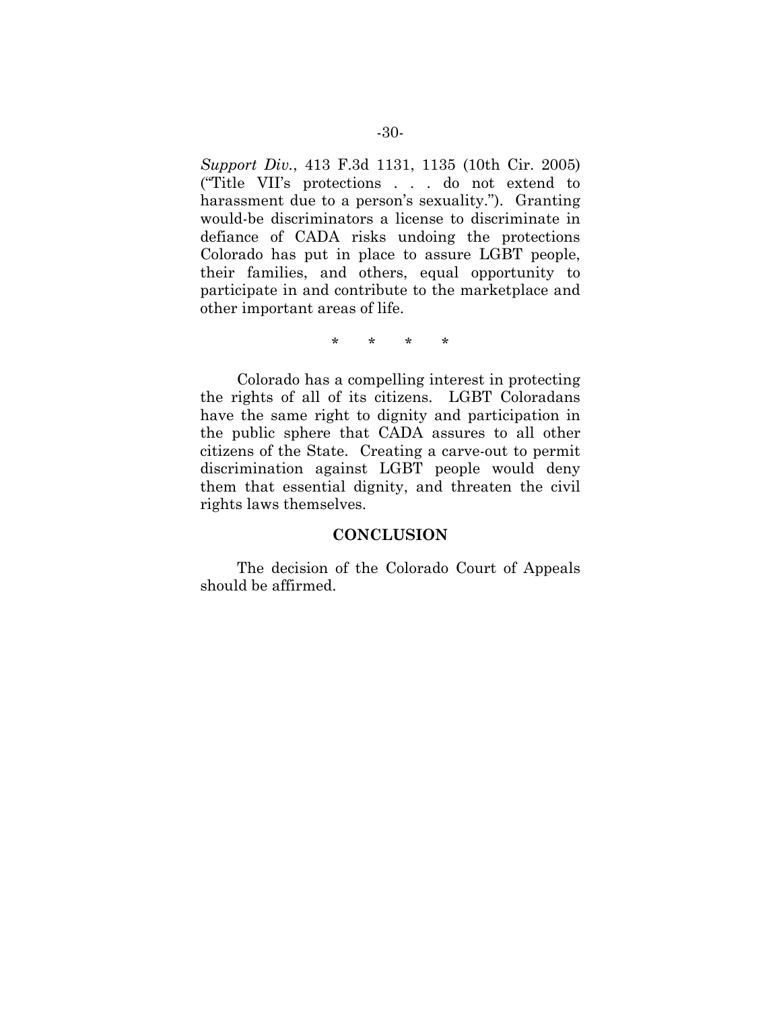*Support Div.*, 413 F.3d 1131, 1135 (10th Cir. 2005) ("Title VII's protections . . . do not extend to harassment due to a person's sexuality."). Granting would-be discriminators a license to discriminate in defiance of CADA risks undoing the protections Colorado has put in place to assure LGBT people, their families, and others, equal opportunity to participate in and contribute to the marketplace and other important areas of life.

\* \* \* \*

Colorado has a compelling interest in protecting the rights of all of its citizens. LGBT Coloradans have the same right to dignity and participation in the public sphere that CADA assures to all other citizens of the State. Creating a carve-out to permit discrimination against LGBT people would deny them that essential dignity, and threaten the civil rights laws themselves.

#### **CONCLUSION**

The decision of the Colorado Court of Appeals should be affirmed.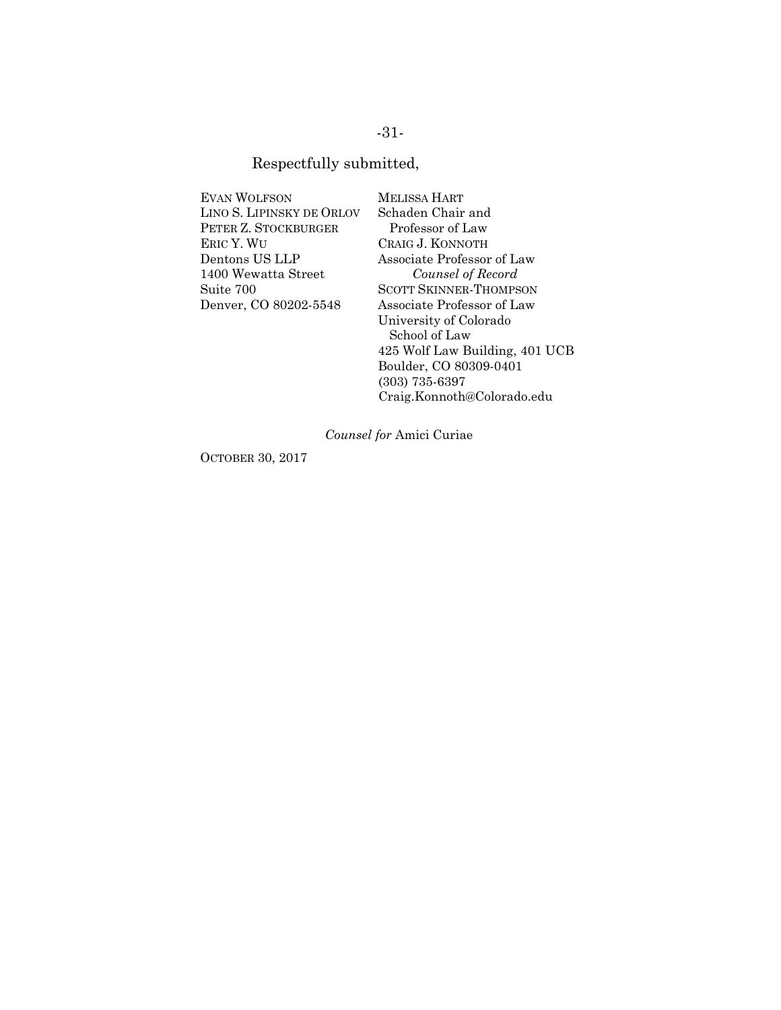## -31-

### Respectfully submitted,

| <b>EVAN WOLFSON</b>       |
|---------------------------|
| LINO S. LIPINSKY DE ORLOV |
| PETER Z. STOCKBURGER      |
| ERIC Y. WU                |
| Dentons US LLP            |
| 1400 Wewatta Street       |
| Suite 700                 |
| Denver, CO 80202-5548     |
|                           |

MELISSA HART Schaden Chair and Professor of Law CRAIG J. KONNOTH Associate Professor of Law *Counsel of Record* SCOTT SKINNER-THOMPSON Associate Professor of Law University of Colorado School of Law 425 Wolf Law Building, 401 UCB Boulder, CO 80309-0401 (303) 735-6397 Craig.Konnoth@Colorado.edu

*Counsel for* Amici Curiae

OCTOBER 30, 2017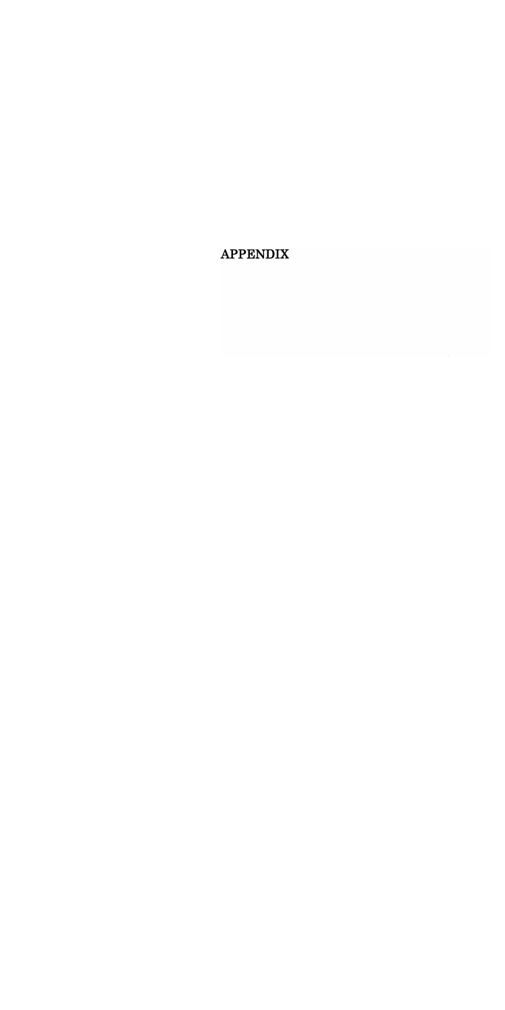**APPENDIX**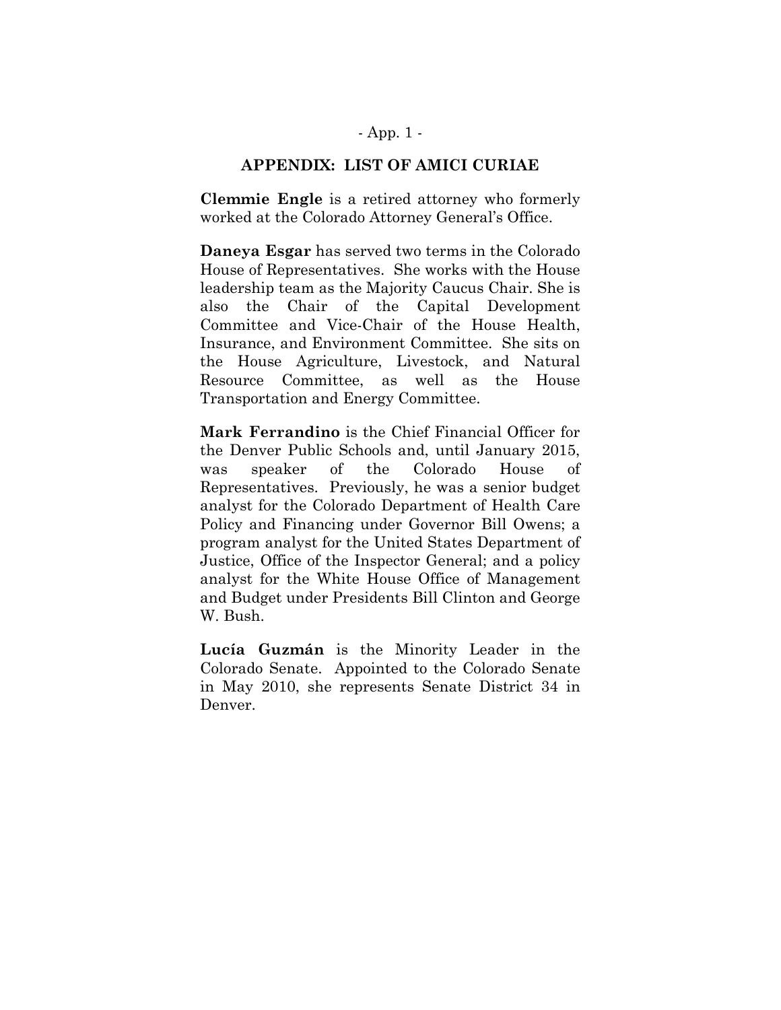### - App. 1 -

#### **APPENDIX: LIST OF AMICI CURIAE**

**Clemmie Engle** is a retired attorney who formerly worked at the Colorado Attorney General's Office.

**Daneya Esgar** has served two terms in the Colorado House of Representatives. She works with the House leadership team as the Majority Caucus Chair. She is also the Chair of the Capital Development Committee and Vice-Chair of the House Health, Insurance, and Environment Committee. She sits on the House Agriculture, Livestock, and Natural Resource Committee, as well as the House Transportation and Energy Committee.

**Mark Ferrandino** is the Chief Financial Officer for the Denver Public Schools and, until January 2015, was speaker of the Colorado House of Representatives. Previously, he was a senior budget analyst for the Colorado Department of Health Care Policy and Financing under Governor Bill Owens; a program analyst for the United States Department of Justice, Office of the Inspector General; and a policy analyst for the White House Office of Management and Budget under Presidents Bill Clinton and George W. Bush.

**Lucía Guzmán** is the Minority Leader in the Colorado Senate. Appointed to the Colorado Senate in May 2010, she represents Senate District 34 in Denver.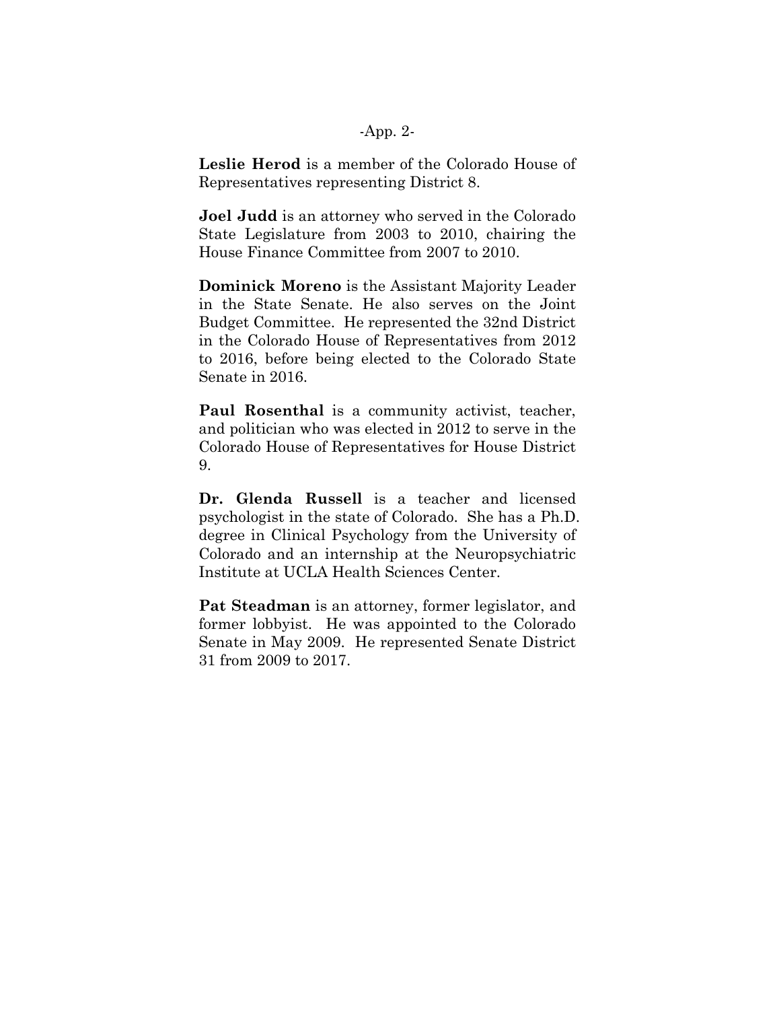#### -App. 2-

**Leslie Herod** is a member of the Colorado House of Representatives representing District 8.

**Joel Judd** is an attorney who served in the Colorado State Legislature from 2003 to 2010, chairing the House Finance Committee from 2007 to 2010.

**Dominick Moreno** is the Assistant Majority Leader in the State Senate. He also serves on the Joint Budget Committee. He represented the 32nd District in the Colorado House of Representatives from 2012 to 2016, before being elected to the Colorado State Senate in 2016.

**Paul Rosenthal** is a community activist, teacher, and politician who was elected in 2012 to serve in the Colorado House of Representatives for House District 9.

**Dr. Glenda Russell** is a teacher and licensed psychologist in the state of Colorado. She has a Ph.D. degree in Clinical Psychology from the University of Colorado and an internship at the Neuropsychiatric Institute at UCLA Health Sciences Center.

**Pat Steadman** is an attorney, former legislator, and former lobbyist. He was appointed to the Colorado Senate in May 2009. He represented Senate District 31 from 2009 to 2017.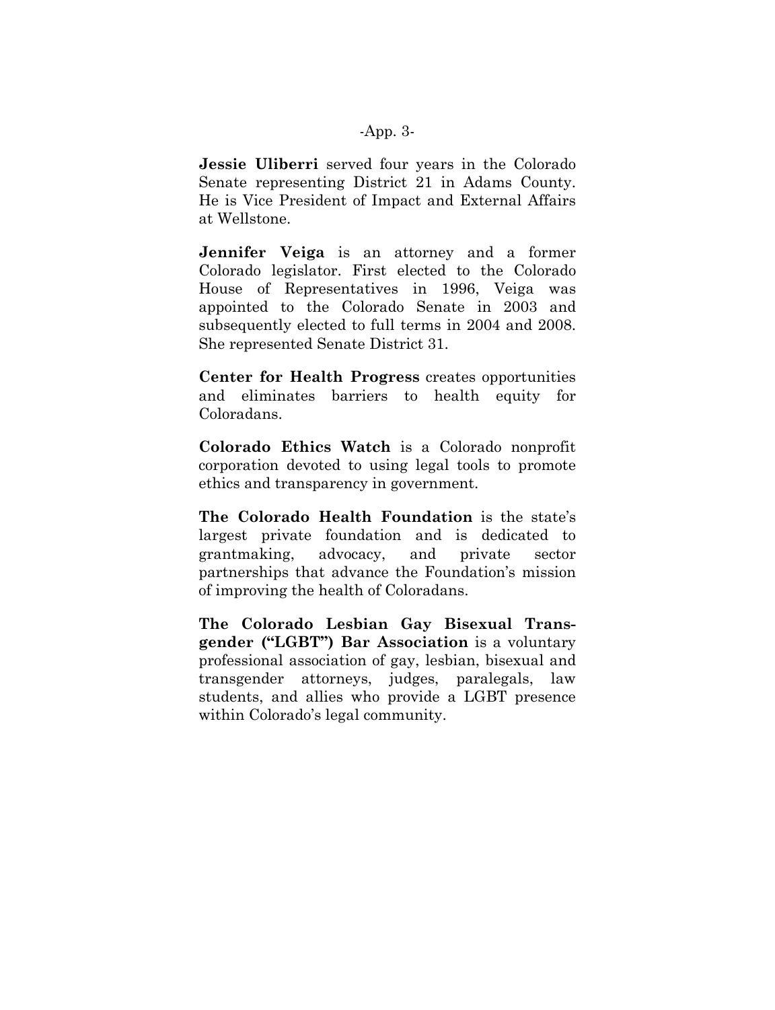#### -App. 3-

**Jessie Uliberri** served four years in the Colorado Senate representing District 21 in Adams County. He is Vice President of Impact and External Affairs at Wellstone.

**Jennifer Veiga** is an attorney and a former Colorado legislator. First elected to the Colorado House of Representatives in 1996, Veiga was appointed to the Colorado Senate in 2003 and subsequently elected to full terms in 2004 and 2008. She represented Senate District 31.

**Center for Health Progress** creates opportunities and eliminates barriers to health equity for Coloradans.

**Colorado Ethics Watch** is a Colorado nonprofit corporation devoted to using legal tools to promote ethics and transparency in government.

**The Colorado Health Foundation** is the state's largest private foundation and is dedicated to grantmaking, advocacy, and private sector partnerships that advance the Foundation's mission of improving the health of Coloradans.

**The Colorado Lesbian Gay Bisexual Transgender ("LGBT") Bar Association** is a voluntary professional association of gay, lesbian, bisexual and transgender attorneys, judges, paralegals, law students, and allies who provide a LGBT presence within Colorado's legal community.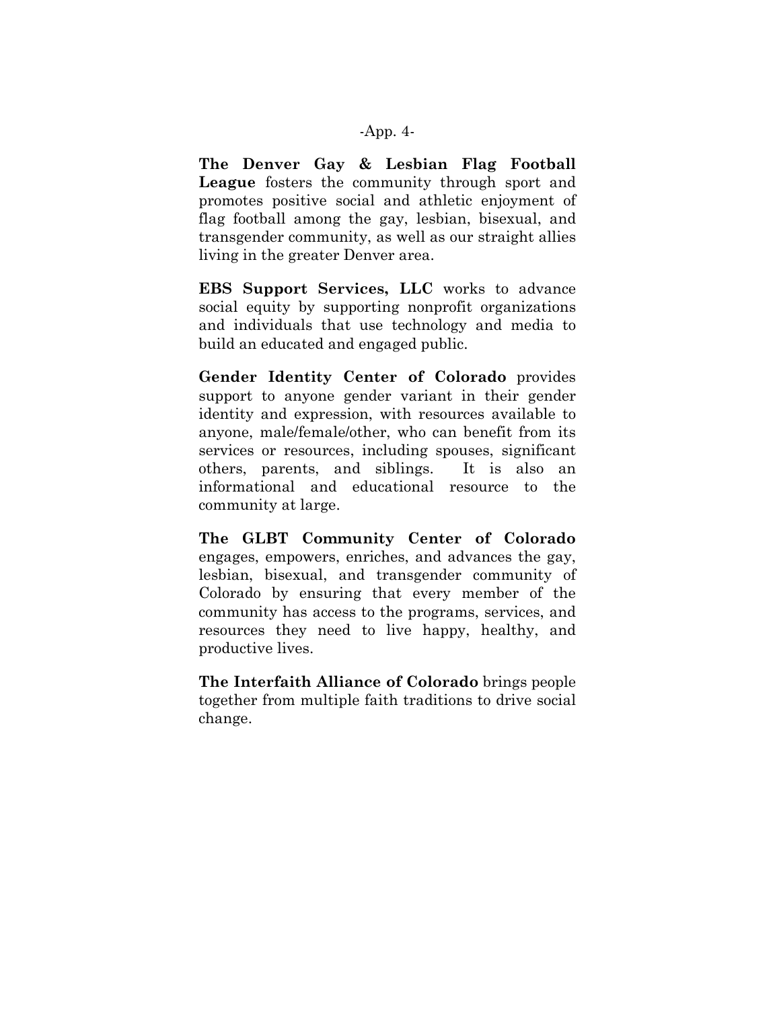#### -App. 4-

**The Denver Gay & Lesbian Flag Football League** fosters the community through sport and promotes positive social and athletic enjoyment of flag football among the gay, lesbian, bisexual, and transgender community, as well as our straight allies living in the greater Denver area.

**EBS Support Services, LLC** works to advance social equity by supporting nonprofit organizations and individuals that use technology and media to build an educated and engaged public.

**Gender Identity Center of Colorado** provides support to anyone gender variant in their gender identity and expression, with resources available to anyone, male/female/other, who can benefit from its services or resources, including spouses, significant others, parents, and siblings. It is also an informational and educational resource to the community at large.

**The GLBT Community Center of Colorado** engages, empowers, enriches, and advances the gay, lesbian, bisexual, and transgender community of Colorado by ensuring that every member of the community has access to the programs, services, and resources they need to live happy, healthy, and productive lives.

**The Interfaith Alliance of Colorado** brings people together from multiple faith traditions to drive social change.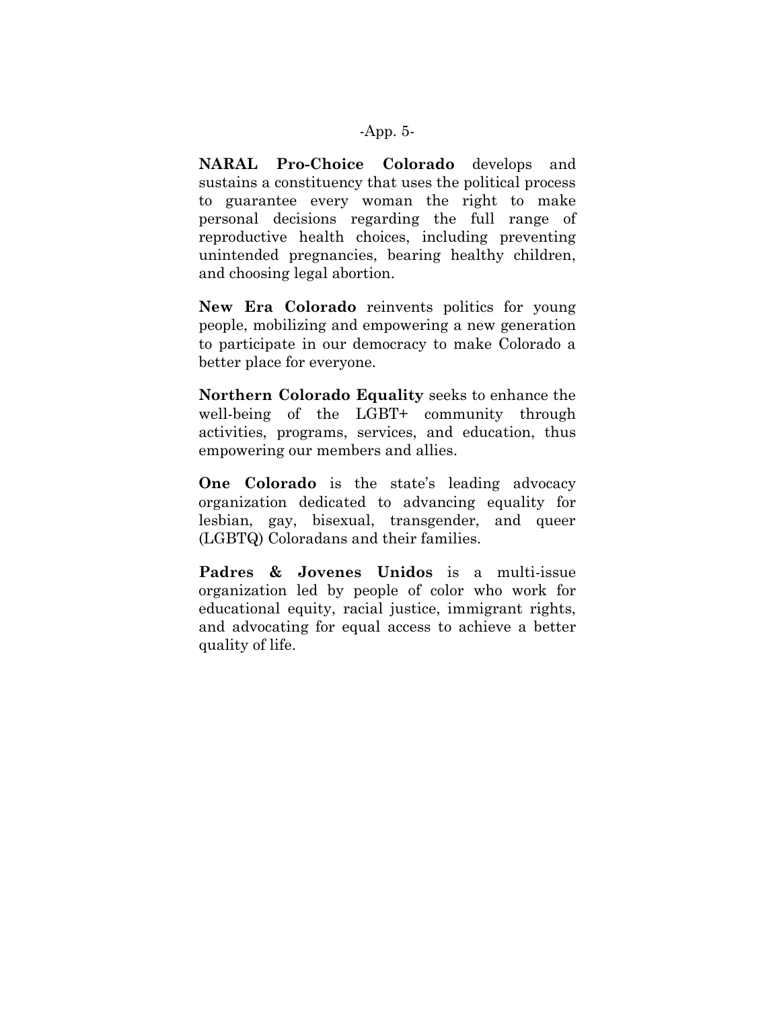#### -App. 5-

**NARAL Pro-Choice Colorado** develops and sustains a constituency that uses the political process to guarantee every woman the right to make personal decisions regarding the full range of reproductive health choices, including preventing unintended pregnancies, bearing healthy children, and choosing legal abortion.

**New Era Colorado** reinvents politics for young people, mobilizing and empowering a new generation to participate in our democracy to make Colorado a better place for everyone.

**Northern Colorado Equality** seeks to enhance the well-being of the LGBT+ community through activities, programs, services, and education, thus empowering our members and allies.

**One Colorado** is the state's leading advocacy organization dedicated to advancing equality for lesbian, gay, bisexual, transgender, and queer (LGBTQ) Coloradans and their families.

**Padres & Jovenes Unidos** is a multi-issue organization led by people of color who work for educational equity, racial justice, immigrant rights, and advocating for equal access to achieve a better quality of life.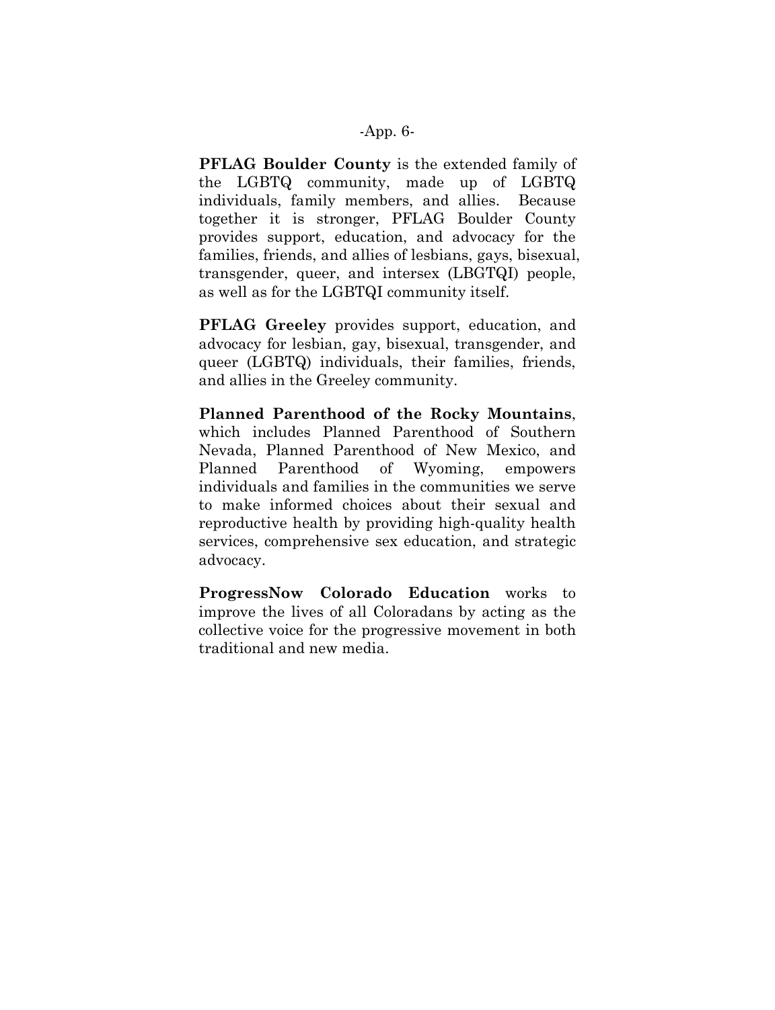#### -App. 6-

**PFLAG Boulder County** is the extended family of the LGBTQ community, made up of LGBTQ individuals, family members, and allies. Because together it is stronger, PFLAG Boulder County provides support, education, and advocacy for the families, friends, and allies of lesbians, gays, bisexual, transgender, queer, and intersex (LBGTQI) people, as well as for the LGBTQI community itself.

**PFLAG Greeley** provides support, education, and advocacy for lesbian, gay, bisexual, transgender, and queer (LGBTQ) individuals, their families, friends, and allies in the Greeley community.

**Planned Parenthood of the Rocky Mountains**, which includes Planned Parenthood of Southern Nevada, Planned Parenthood of New Mexico, and Planned Parenthood of Wyoming, empowers individuals and families in the communities we serve to make informed choices about their sexual and reproductive health by providing high-quality health services, comprehensive sex education, and strategic advocacy.

**ProgressNow Colorado Education** works to improve the lives of all Coloradans by acting as the collective voice for the progressive movement in both traditional and new media.